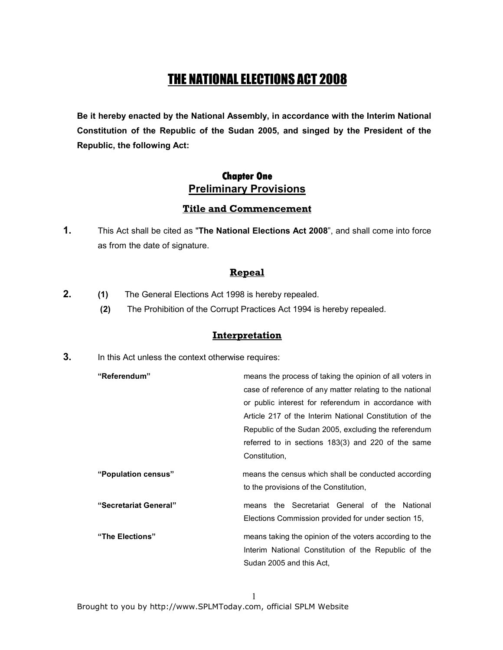# THE NATIONAL ELECTIONS ACT 2008

Be it hereby enacted by the National Assembly, in accordance with the Interim National Constitution of the Republic of the Sudan 2005, and singed by the President of the Republic, the following Act:

# **Chapter One Chapter One**  Preliminary Provisions

#### Title and Commencement

1. This Act shall be cited as "The National Elections Act 2008", and shall come into force as from the date of signature.

#### Repeal

- 2. (1) The General Elections Act 1998 is hereby repealed.
	- (2) The Prohibition of the Corrupt Practices Act 1994 is hereby repealed.

#### **Interpretation**

**3.** In this Act unless the context otherwise requires:

| "Referendum"          | means the process of taking the opinion of all voters in                                      |
|-----------------------|-----------------------------------------------------------------------------------------------|
|                       | case of reference of any matter relating to the national                                      |
|                       | or public interest for referendum in accordance with                                          |
|                       | Article 217 of the Interim National Constitution of the                                       |
|                       | Republic of the Sudan 2005, excluding the referendum                                          |
|                       | referred to in sections 183(3) and 220 of the same                                            |
|                       | Constitution,                                                                                 |
| "Population census"   | means the census which shall be conducted according<br>to the provisions of the Constitution. |
| "Secretariat General" | the Secretariat General of the National<br>means                                              |
|                       | Elections Commission provided for under section 15,                                           |
| "The Elections"       | means taking the opinion of the voters according to the                                       |
|                       | Interim National Constitution of the Republic of the                                          |
|                       | Sudan 2005 and this Act.                                                                      |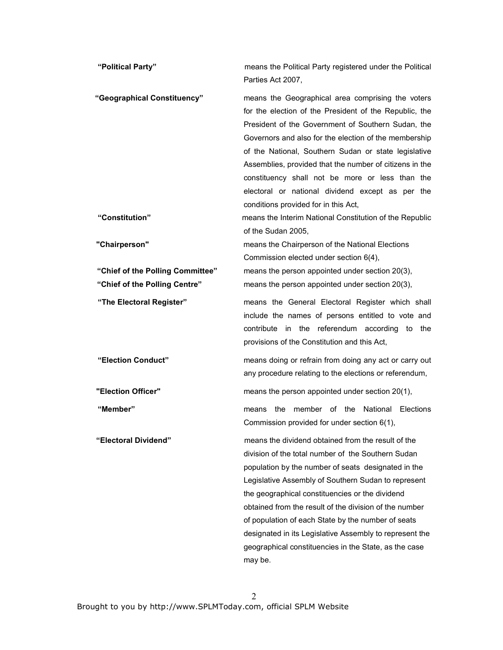| "Political Party"                                                 | means the Political Party registered under the Political<br>Parties Act 2007,                                                                                                                                                                                                                                                                                                                                                                                                                                            |
|-------------------------------------------------------------------|--------------------------------------------------------------------------------------------------------------------------------------------------------------------------------------------------------------------------------------------------------------------------------------------------------------------------------------------------------------------------------------------------------------------------------------------------------------------------------------------------------------------------|
| "Geographical Constituency"                                       | means the Geographical area comprising the voters<br>for the election of the President of the Republic, the<br>President of the Government of Southern Sudan, the<br>Governors and also for the election of the membership<br>of the National, Southern Sudan or state legislative<br>Assemblies, provided that the number of citizens in the<br>constituency shall not be more or less than the<br>electoral or national dividend except as per the<br>conditions provided for in this Act,                             |
| "Constitution"                                                    | means the Interim National Constitution of the Republic<br>of the Sudan 2005,                                                                                                                                                                                                                                                                                                                                                                                                                                            |
| "Chairperson"                                                     | means the Chairperson of the National Elections<br>Commission elected under section 6(4),                                                                                                                                                                                                                                                                                                                                                                                                                                |
| "Chief of the Polling Committee"<br>"Chief of the Polling Centre" | means the person appointed under section 20(3),<br>means the person appointed under section 20(3),                                                                                                                                                                                                                                                                                                                                                                                                                       |
| "The Electoral Register"                                          | means the General Electoral Register which shall<br>include the names of persons entitled to vote and<br>contribute<br>in the referendum according<br>to the<br>provisions of the Constitution and this Act,                                                                                                                                                                                                                                                                                                             |
| "Election Conduct"                                                | means doing or refrain from doing any act or carry out<br>any procedure relating to the elections or referendum,                                                                                                                                                                                                                                                                                                                                                                                                         |
| "Election Officer"                                                | means the person appointed under section 20(1),                                                                                                                                                                                                                                                                                                                                                                                                                                                                          |
| "Member"                                                          | member of the National<br>the<br>Elections<br>means<br>Commission provided for under section 6(1),                                                                                                                                                                                                                                                                                                                                                                                                                       |
| "Electoral Dividend"                                              | means the dividend obtained from the result of the<br>division of the total number of the Southern Sudan<br>population by the number of seats designated in the<br>Legislative Assembly of Southern Sudan to represent<br>the geographical constituencies or the dividend<br>obtained from the result of the division of the number<br>of population of each State by the number of seats<br>designated in its Legislative Assembly to represent the<br>geographical constituencies in the State, as the case<br>may be. |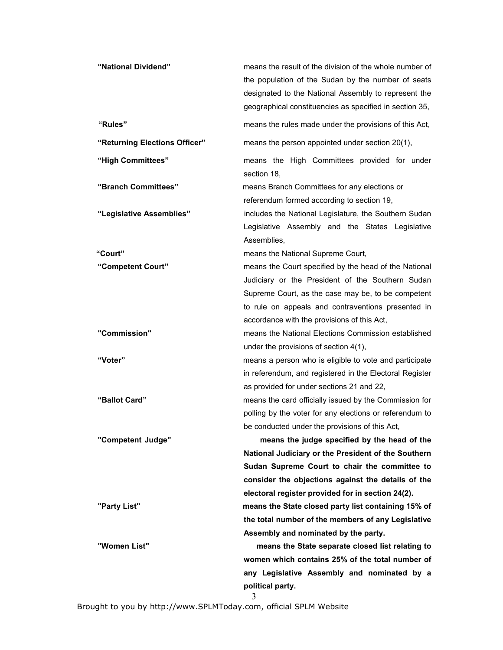| "National Dividend"           | means the result of the division of the whole number of<br>the population of the Sudan by the number of seats<br>designated to the National Assembly to represent the<br>geographical constituencies as specified in section 35, |
|-------------------------------|----------------------------------------------------------------------------------------------------------------------------------------------------------------------------------------------------------------------------------|
| "Rules"                       | means the rules made under the provisions of this Act,                                                                                                                                                                           |
| "Returning Elections Officer" | means the person appointed under section 20(1),                                                                                                                                                                                  |
| "High Committees"             | means the High Committees provided for under<br>section 18,                                                                                                                                                                      |
| "Branch Committees"           | means Branch Committees for any elections or<br>referendum formed according to section 19,                                                                                                                                       |
| "Legislative Assemblies"      | includes the National Legislature, the Southern Sudan<br>Legislative Assembly and the States Legislative<br>Assemblies,                                                                                                          |
| "Court"                       | means the National Supreme Court,                                                                                                                                                                                                |
| "Competent Court"             | means the Court specified by the head of the National                                                                                                                                                                            |
|                               | Judiciary or the President of the Southern Sudan                                                                                                                                                                                 |
|                               | Supreme Court, as the case may be, to be competent                                                                                                                                                                               |
|                               | to rule on appeals and contraventions presented in                                                                                                                                                                               |
|                               | accordance with the provisions of this Act,                                                                                                                                                                                      |
| "Commission"                  | means the National Elections Commission established                                                                                                                                                                              |
|                               | under the provisions of section 4(1),                                                                                                                                                                                            |
| "Voter"                       | means a person who is eligible to vote and participate                                                                                                                                                                           |
|                               | in referendum, and registered in the Electoral Register                                                                                                                                                                          |
|                               | as provided for under sections 21 and 22,                                                                                                                                                                                        |
| "Ballot Card"                 | means the card officially issued by the Commission for                                                                                                                                                                           |
|                               | polling by the voter for any elections or referendum to                                                                                                                                                                          |
|                               | be conducted under the provisions of this Act,                                                                                                                                                                                   |
| "Competent Judge"             | means the judge specified by the head of the                                                                                                                                                                                     |
|                               | National Judiciary or the President of the Southern                                                                                                                                                                              |
|                               | Sudan Supreme Court to chair the committee to                                                                                                                                                                                    |
|                               | consider the objections against the details of the                                                                                                                                                                               |
|                               | electoral register provided for in section 24(2).                                                                                                                                                                                |
| "Party List"                  | means the State closed party list containing 15% of                                                                                                                                                                              |
|                               | the total number of the members of any Legislative                                                                                                                                                                               |
| "Women List"                  | Assembly and nominated by the party.                                                                                                                                                                                             |
|                               | means the State separate closed list relating to<br>women which contains 25% of the total number of                                                                                                                              |
|                               | any Legislative Assembly and nominated by a                                                                                                                                                                                      |
|                               | political party.                                                                                                                                                                                                                 |
|                               | 3                                                                                                                                                                                                                                |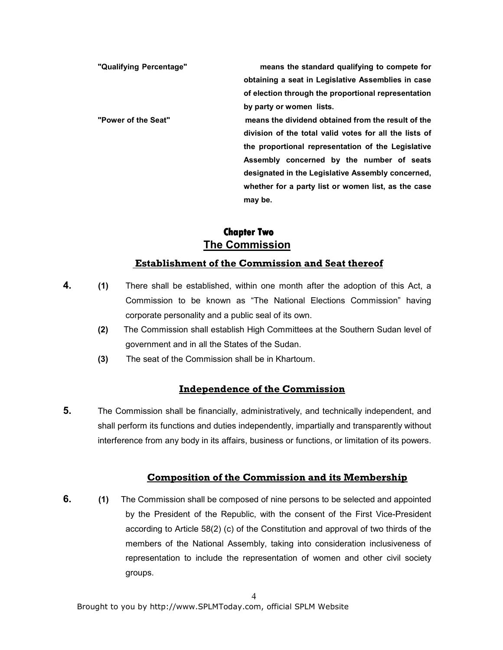"Qualifying Percentage" means the standard qualifying to compete for obtaining a seat in Legislative Assemblies in case of election through the proportional representation by party or women lists. "Power of the Seat" means the dividend obtained from the result of the division of the total valid votes for all the lists of the proportional representation of the Legislative Assembly concerned by the number of seats designated in the Legislative Assembly concerned, whether for a party list or women list, as the case may be.

# **Chapter Two** The Commission

# Establishment of the Commission and Seat thereof

- **4.** (1) There shall be established, within one month after the adoption of this Act, a Commission to be known as "The National Elections Commission" having corporate personality and a public seal of its own.
	- (2) The Commission shall establish High Committees at the Southern Sudan level of government and in all the States of the Sudan.
	- (3) The seat of the Commission shall be in Khartoum.

# Independence of the Commission

5. The Commission shall be financially, administratively, and technically independent, and shall perform its functions and duties independently, impartially and transparently without interference from any body in its affairs, business or functions, or limitation of its powers.

### Composition of the Commission and its Membership

**6.** (1) The Commission shall be composed of nine persons to be selected and appointed by the President of the Republic, with the consent of the First Vice-President according to Article 58(2) (c) of the Constitution and approval of two thirds of the members of the National Assembly, taking into consideration inclusiveness of representation to include the representation of women and other civil society groups.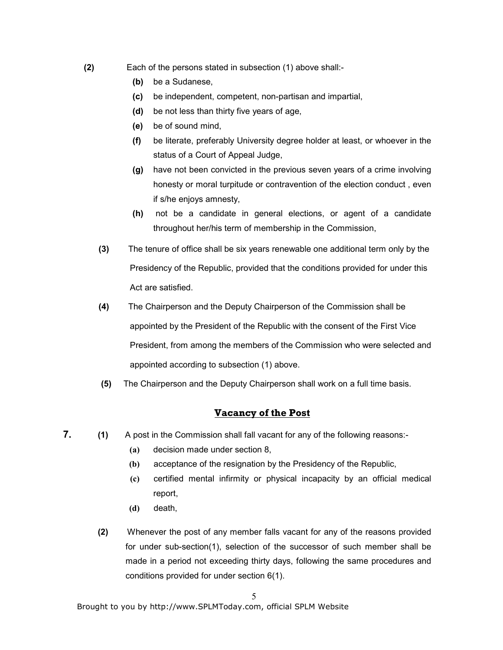- (2) Each of the persons stated in subsection (1) above shall:-
	- (b) be a Sudanese,
	- (c) be independent, competent, non-partisan and impartial,
	- (d) be not less than thirty five years of age,
	- (e) be of sound mind,
	- (f) be literate, preferably University degree holder at least, or whoever in the status of a Court of Appeal Judge,
	- (g) have not been convicted in the previous seven years of a crime involving honesty or moral turpitude or contravention of the election conduct , even if s/he enjoys amnesty,
	- (h) not be a candidate in general elections, or agent of a candidate throughout her/his term of membership in the Commission,
	- (3) The tenure of office shall be six years renewable one additional term only by the Presidency of the Republic, provided that the conditions provided for under this Act are satisfied.
	- (4) The Chairperson and the Deputy Chairperson of the Commission shall be appointed by the President of the Republic with the consent of the First Vice President, from among the members of the Commission who were selected and appointed according to subsection (1) above.
	- (5) The Chairperson and the Deputy Chairperson shall work on a full time basis.

### Vacancy of the Post

- 7. (1) A post in the Commission shall fall vacant for any of the following reasons:-
	- (a) decision made under section 8,
	- (b) acceptance of the resignation by the Presidency of the Republic,
	- (c) certified mental infirmity or physical incapacity by an official medical report,
	- (d) death,
	- (2) Whenever the post of any member falls vacant for any of the reasons provided for under sub-section(1), selection of the successor of such member shall be made in a period not exceeding thirty days, following the same procedures and conditions provided for under section 6(1).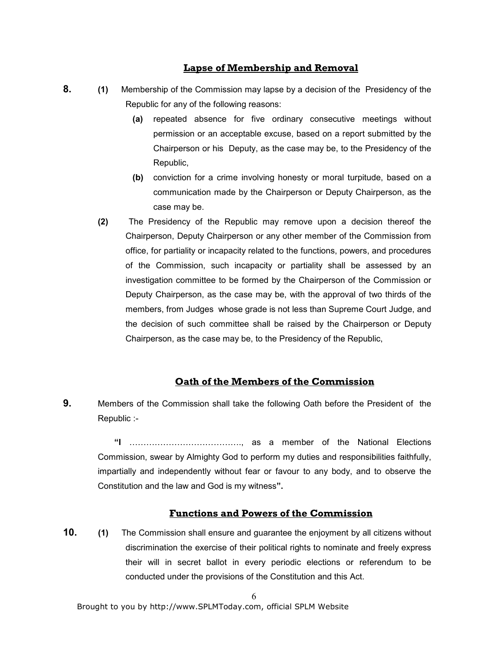#### Lapse of Membership and Removal

- 8. (1) Membership of the Commission may lapse by a decision of the Presidency of the Republic for any of the following reasons:
	- (a) repeated absence for five ordinary consecutive meetings without permission or an acceptable excuse, based on a report submitted by the Chairperson or his Deputy, as the case may be, to the Presidency of the Republic,
	- (b) conviction for a crime involving honesty or moral turpitude, based on a communication made by the Chairperson or Deputy Chairperson, as the case may be.
	- (2) The Presidency of the Republic may remove upon a decision thereof the Chairperson, Deputy Chairperson or any other member of the Commission from office, for partiality or incapacity related to the functions, powers, and procedures of the Commission, such incapacity or partiality shall be assessed by an investigation committee to be formed by the Chairperson of the Commission or Deputy Chairperson, as the case may be, with the approval of two thirds of the members, from Judges whose grade is not less than Supreme Court Judge, and the decision of such committee shall be raised by the Chairperson or Deputy Chairperson, as the case may be, to the Presidency of the Republic,

#### Oath of the Members of the Commission

9. Members of the Commission shall take the following Oath before the President of the Republic :-

 "I FFFFFFFFFFFFF., as a member of the National Elections Commission, swear by Almighty God to perform my duties and responsibilities faithfully, impartially and independently without fear or favour to any body, and to observe the Constitution and the law and God is my witness".

### Functions and Powers of the Commission

**10.** (1) The Commission shall ensure and guarantee the enjoyment by all citizens without discrimination the exercise of their political rights to nominate and freely express their will in secret ballot in every periodic elections or referendum to be conducted under the provisions of the Constitution and this Act.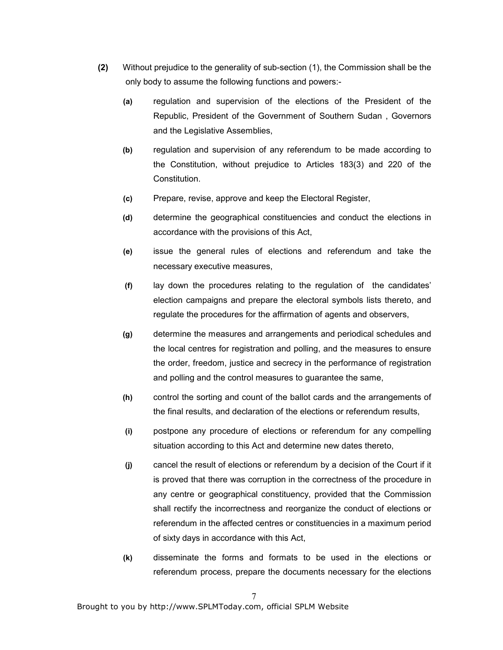- (2) Without prejudice to the generality of sub-section (1), the Commission shall be the only body to assume the following functions and powers:-
	- (a) regulation and supervision of the elections of the President of the Republic, President of the Government of Southern Sudan , Governors and the Legislative Assemblies,
	- (b) regulation and supervision of any referendum to be made according to the Constitution, without prejudice to Articles 183(3) and 220 of the Constitution.
	- (c) Prepare, revise, approve and keep the Electoral Register,
	- (d) determine the geographical constituencies and conduct the elections in accordance with the provisions of this Act,
	- (e) issue the general rules of elections and referendum and take the necessary executive measures,
	- (f) lay down the procedures relating to the regulation of the candidates' election campaigns and prepare the electoral symbols lists thereto, and regulate the procedures for the affirmation of agents and observers,
	- (g) determine the measures and arrangements and periodical schedules and the local centres for registration and polling, and the measures to ensure the order, freedom, justice and secrecy in the performance of registration and polling and the control measures to guarantee the same,
	- (h) control the sorting and count of the ballot cards and the arrangements of the final results, and declaration of the elections or referendum results,
	- (i) postpone any procedure of elections or referendum for any compelling situation according to this Act and determine new dates thereto,
	- (j) cancel the result of elections or referendum by a decision of the Court if it is proved that there was corruption in the correctness of the procedure in any centre or geographical constituency, provided that the Commission shall rectify the incorrectness and reorganize the conduct of elections or referendum in the affected centres or constituencies in a maximum period of sixty days in accordance with this Act,
	- (k) disseminate the forms and formats to be used in the elections or referendum process, prepare the documents necessary for the elections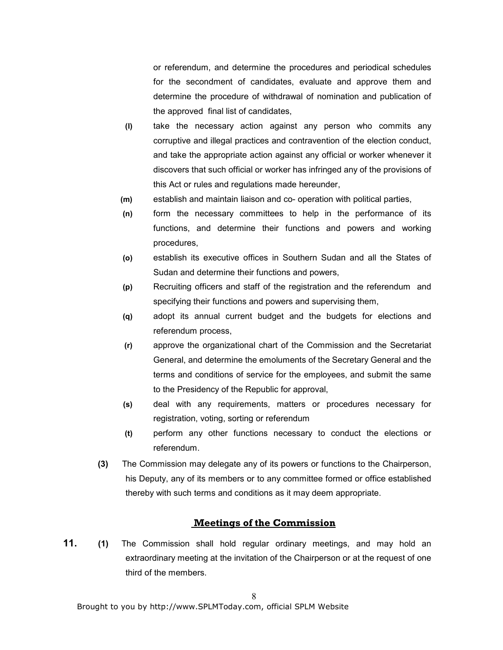or referendum, and determine the procedures and periodical schedules for the secondment of candidates, evaluate and approve them and determine the procedure of withdrawal of nomination and publication of the approved final list of candidates,

- (l) take the necessary action against any person who commits any corruptive and illegal practices and contravention of the election conduct, and take the appropriate action against any official or worker whenever it discovers that such official or worker has infringed any of the provisions of this Act or rules and regulations made hereunder,
- (m) establish and maintain liaison and co- operation with political parties,
- (n) form the necessary committees to help in the performance of its functions, and determine their functions and powers and working procedures,
- (o) establish its executive offices in Southern Sudan and all the States of Sudan and determine their functions and powers,
- (p) Recruiting officers and staff of the registration and the referendum and specifying their functions and powers and supervising them,
- (q) adopt its annual current budget and the budgets for elections and referendum process,
- (r) approve the organizational chart of the Commission and the Secretariat General, and determine the emoluments of the Secretary General and the terms and conditions of service for the employees, and submit the same to the Presidency of the Republic for approval,
- (s) deal with any requirements, matters or procedures necessary for registration, voting, sorting or referendum
- (t) perform any other functions necessary to conduct the elections or referendum.
- (3) The Commission may delegate any of its powers or functions to the Chairperson, his Deputy, any of its members or to any committee formed or office established thereby with such terms and conditions as it may deem appropriate.

### Meetings of the Commission

11. (1) The Commission shall hold regular ordinary meetings, and may hold an extraordinary meeting at the invitation of the Chairperson or at the request of one third of the members.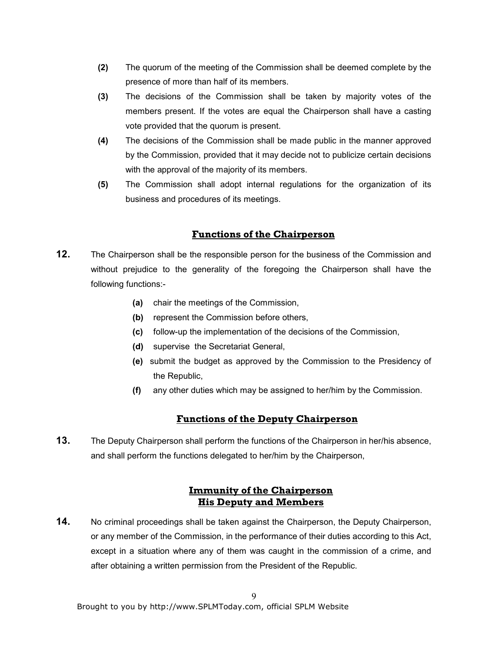- (2) The quorum of the meeting of the Commission shall be deemed complete by the presence of more than half of its members.
- (3) The decisions of the Commission shall be taken by majority votes of the members present. If the votes are equal the Chairperson shall have a casting vote provided that the quorum is present.
- (4) The decisions of the Commission shall be made public in the manner approved by the Commission, provided that it may decide not to publicize certain decisions with the approval of the majority of its members.
- (5) The Commission shall adopt internal regulations for the organization of its business and procedures of its meetings.

## Functions of the Chairperson

- **12.** The Chairperson shall be the responsible person for the business of the Commission and without prejudice to the generality of the foregoing the Chairperson shall have the following functions:-
	- (a) chair the meetings of the Commission,
	- (b) represent the Commission before others,
	- (c) follow-up the implementation of the decisions of the Commission,
	- (d) supervise the Secretariat General,
	- (e) submit the budget as approved by the Commission to the Presidency of the Republic,
	- (f) any other duties which may be assigned to her/him by the Commission.

### Functions of the Deputy Chairperson

13. The Deputy Chairperson shall perform the functions of the Chairperson in her/his absence, and shall perform the functions delegated to her/him by the Chairperson,

# Immunity of the Chairperson His Deputy and Members

14. No criminal proceedings shall be taken against the Chairperson, the Deputy Chairperson, or any member of the Commission, in the performance of their duties according to this Act, except in a situation where any of them was caught in the commission of a crime, and after obtaining a written permission from the President of the Republic.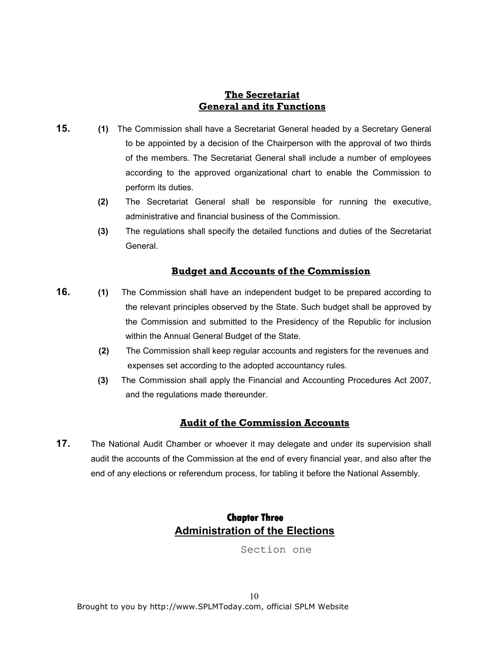# The Secretariat General and its Functions

- **15.** (1) The Commission shall have a Secretariat General headed by a Secretary General to be appointed by a decision of the Chairperson with the approval of two thirds of the members. The Secretariat General shall include a number of employees according to the approved organizational chart to enable the Commission to perform its duties.
	- (2) The Secretariat General shall be responsible for running the executive, administrative and financial business of the Commission.
	- (3) The regulations shall specify the detailed functions and duties of the Secretariat General.

# Budget and Accounts of the Commission

- **16.** (1) The Commission shall have an independent budget to be prepared according to the relevant principles observed by the State. Such budget shall be approved by the Commission and submitted to the Presidency of the Republic for inclusion within the Annual General Budget of the State.
	- (2) The Commission shall keep regular accounts and registers for the revenues and expenses set according to the adopted accountancy rules.
	- (3) The Commission shall apply the Financial and Accounting Procedures Act 2007, and the regulations made thereunder.

# Audit of the Commission Accounts

17. The National Audit Chamber or whoever it may delegate and under its supervision shall audit the accounts of the Commission at the end of every financial year, and also after the end of any elections or referendum process, for tabling it before the National Assembly.

# **Chapter Three** Administration of the Elections

Section one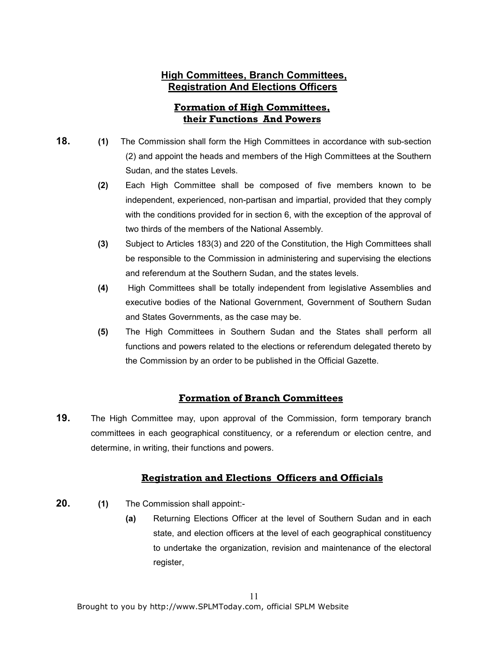# High Committees, Branch Committees, Registration And Elections Officers

# Formation of High Committees, their Functions And Powers

- 18. (1) The Commission shall form the High Committees in accordance with sub-section (2) and appoint the heads and members of the High Committees at the Southern Sudan, and the states Levels.
	- (2) Each High Committee shall be composed of five members known to be independent, experienced, non-partisan and impartial, provided that they comply with the conditions provided for in section 6, with the exception of the approval of two thirds of the members of the National Assembly.
	- (3) Subject to Articles 183(3) and 220 of the Constitution, the High Committees shall be responsible to the Commission in administering and supervising the elections and referendum at the Southern Sudan, and the states levels.
	- (4) High Committees shall be totally independent from legislative Assemblies and executive bodies of the National Government, Government of Southern Sudan and States Governments, as the case may be.
	- (5) The High Committees in Southern Sudan and the States shall perform all functions and powers related to the elections or referendum delegated thereto by the Commission by an order to be published in the Official Gazette.

# Formation of Branch Committees

**19.** The High Committee may, upon approval of the Commission, form temporary branch committees in each geographical constituency, or a referendum or election centre, and determine, in writing, their functions and powers.

# Registration and Elections Officers and Officials

- 20. (1) The Commission shall appoint:-
	- (a) Returning Elections Officer at the level of Southern Sudan and in each state, and election officers at the level of each geographical constituency to undertake the organization, revision and maintenance of the electoral register,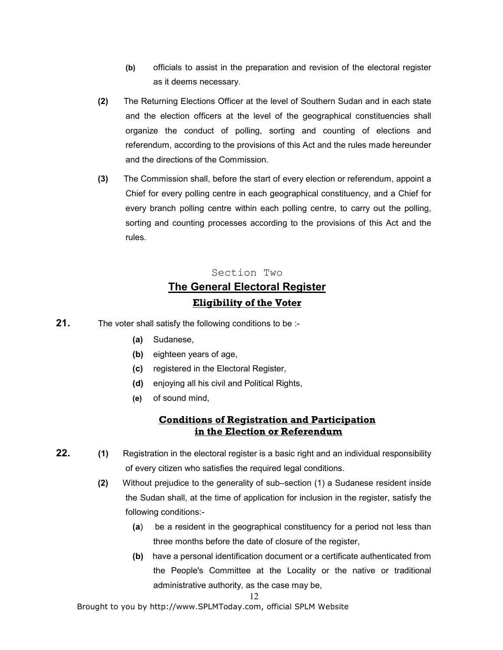- (b) officials to assist in the preparation and revision of the electoral register as it deems necessary.
- (2) The Returning Elections Officer at the level of Southern Sudan and in each state and the election officers at the level of the geographical constituencies shall organize the conduct of polling, sorting and counting of elections and referendum, according to the provisions of this Act and the rules made hereunder and the directions of the Commission.
- (3) The Commission shall, before the start of every election or referendum, appoint a Chief for every polling centre in each geographical constituency, and a Chief for every branch polling centre within each polling centre, to carry out the polling, sorting and counting processes according to the provisions of this Act and the rules.

# Section Two The General Electoral Register Eligibility of the Voter

- 21. The voter shall satisfy the following conditions to be :-
	- (a) Sudanese,
	- (b) eighteen years of age,
	- (c) registered in the Electoral Register,
	- (d) enjoying all his civil and Political Rights,
	- (e) of sound mind,

## Conditions of Registration and Participation in the Election or Referendum

- 22. (1) Registration in the electoral register is a basic right and an individual responsibility of every citizen who satisfies the required legal conditions.
	- (2) Without prejudice to the generality of sub–section (1) a Sudanese resident inside the Sudan shall, at the time of application for inclusion in the register, satisfy the following conditions:-
		- (a) be a resident in the geographical constituency for a period not less than three months before the date of closure of the register,
		- (b) have a personal identification document or a certificate authenticated from the People's Committee at the Locality or the native or traditional administrative authority, as the case may be,

#### 12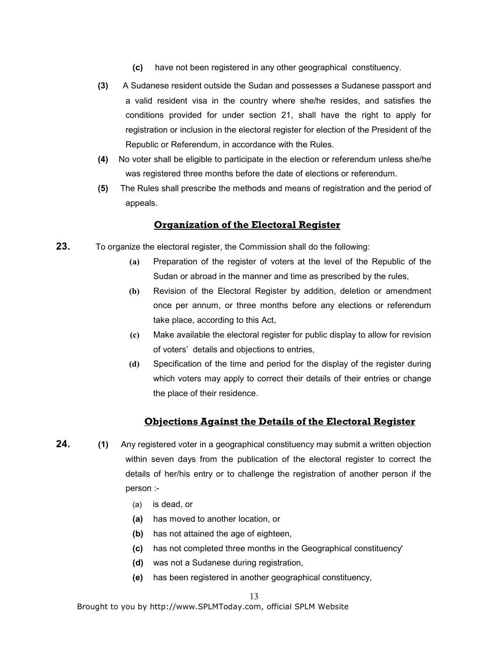- (c) have not been registered in any other geographical constituency.
- (3) A Sudanese resident outside the Sudan and possesses a Sudanese passport and a valid resident visa in the country where she/he resides, and satisfies the conditions provided for under section 21, shall have the right to apply for registration or inclusion in the electoral register for election of the President of the Republic or Referendum, in accordance with the Rules.
- (4) No voter shall be eligible to participate in the election or referendum unless she/he was registered three months before the date of elections or referendum.
- (5) The Rules shall prescribe the methods and means of registration and the period of appeals.

### Organization of the Electoral Register

- 23. To organize the electoral register, the Commission shall do the following:
	- (a) Preparation of the register of voters at the level of the Republic of the Sudan or abroad in the manner and time as prescribed by the rules,
	- (b) Revision of the Electoral Register by addition, deletion or amendment once per annum, or three months before any elections or referendum take place, according to this Act,
	- (c) Make available the electoral register for public display to allow for revision of voters' details and objections to entries,
	- (d) Specification of the time and period for the display of the register during which voters may apply to correct their details of their entries or change the place of their residence.

### Objections Against the Details of the Electoral Register

- 24. (1) Any registered voter in a geographical constituency may submit a written objection within seven days from the publication of the electoral register to correct the details of her/his entry or to challenge the registration of another person if the person :-
	- (a) is dead, or
	- (a) has moved to another location, or
	- (b) has not attained the age of eighteen,
	- (c) has not completed three months in the Geographical constituency'
	- (d) was not a Sudanese during registration,
	- (e) has been registered in another geographical constituency,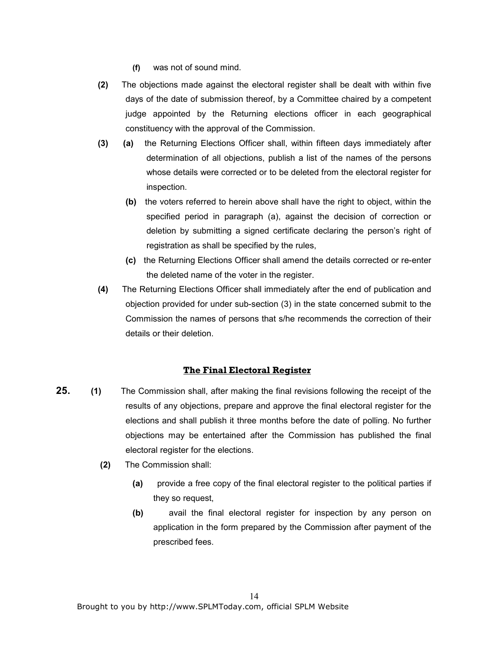- (f) was not of sound mind.
- (2) The objections made against the electoral register shall be dealt with within five days of the date of submission thereof, by a Committee chaired by a competent judge appointed by the Returning elections officer in each geographical constituency with the approval of the Commission.
- (3) (a) the Returning Elections Officer shall, within fifteen days immediately after determination of all objections, publish a list of the names of the persons whose details were corrected or to be deleted from the electoral register for inspection.
	- (b) the voters referred to herein above shall have the right to object, within the specified period in paragraph (a), against the decision of correction or deletion by submitting a signed certificate declaring the person's right of registration as shall be specified by the rules,
	- (c) the Returning Elections Officer shall amend the details corrected or re-enter the deleted name of the voter in the register.
- (4) The Returning Elections Officer shall immediately after the end of publication and objection provided for under sub-section (3) in the state concerned submit to the Commission the names of persons that s/he recommends the correction of their details or their deletion.

### The Final Electoral Register

- 25. (1) The Commission shall, after making the final revisions following the receipt of the results of any objections, prepare and approve the final electoral register for the elections and shall publish it three months before the date of polling. No further objections may be entertained after the Commission has published the final electoral register for the elections.
	- (2) The Commission shall:
		- (a) provide a free copy of the final electoral register to the political parties if they so request,
		- (b) avail the final electoral register for inspection by any person on application in the form prepared by the Commission after payment of the prescribed fees.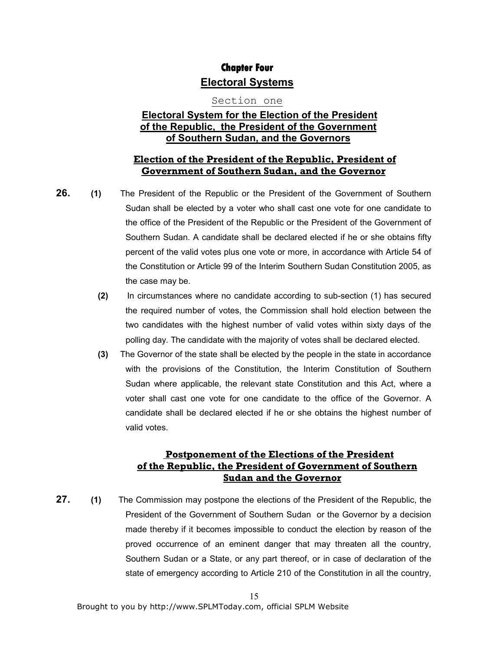# **Chapter Four** Electoral Systems

### Section one

# Electoral System for the Election of the President of the Republic, the President of the Government of Southern Sudan, and the Governors

### Election of the President of the Republic, President of Government of Southern Sudan, and the Governor

26. (1) The President of the Republic or the President of the Government of Southern Sudan shall be elected by a voter who shall cast one vote for one candidate to the office of the President of the Republic or the President of the Government of Southern Sudan. A candidate shall be declared elected if he or she obtains fifty percent of the valid votes plus one vote or more, in accordance with Article 54 of the Constitution or Article 99 of the Interim Southern Sudan Constitution 2005, as the case may be.

- (2) In circumstances where no candidate according to sub-section (1) has secured the required number of votes, the Commission shall hold election between the two candidates with the highest number of valid votes within sixty days of the polling day. The candidate with the majority of votes shall be declared elected.
- (3) The Governor of the state shall be elected by the people in the state in accordance with the provisions of the Constitution, the Interim Constitution of Southern Sudan where applicable, the relevant state Constitution and this Act, where a voter shall cast one vote for one candidate to the office of the Governor. A candidate shall be declared elected if he or she obtains the highest number of valid votes.

# Postponement of the Elections of the President of the Republic, the President of Government of Southern Sudan and the Governor

27. (1) The Commission may postpone the elections of the President of the Republic, the President of the Government of Southern Sudan or the Governor by a decision made thereby if it becomes impossible to conduct the election by reason of the proved occurrence of an eminent danger that may threaten all the country, Southern Sudan or a State, or any part thereof, or in case of declaration of the state of emergency according to Article 210 of the Constitution in all the country,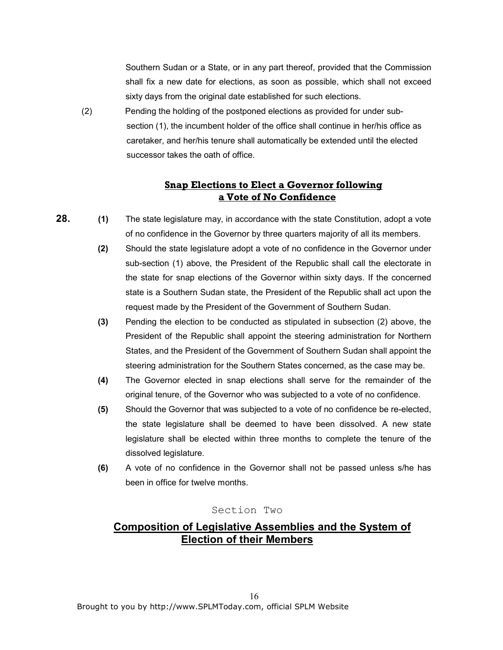Southern Sudan or a State, or in any part thereof, provided that the Commission shall fix a new date for elections, as soon as possible, which shall not exceed sixty days from the original date established for such elections.

 (2) Pending the holding of the postponed elections as provided for under sub section (1), the incumbent holder of the office shall continue in her/his office as caretaker, and her/his tenure shall automatically be extended until the elected successor takes the oath of office.

# Snap Elections to Elect a Governor following a Vote of No Confidence

- 28. (1) The state legislature may, in accordance with the state Constitution, adopt a vote of no confidence in the Governor by three quarters majority of all its members.
	- (2) Should the state legislature adopt a vote of no confidence in the Governor under sub-section (1) above, the President of the Republic shall call the electorate in the state for snap elections of the Governor within sixty days. If the concerned state is a Southern Sudan state, the President of the Republic shall act upon the request made by the President of the Government of Southern Sudan.
	- (3) Pending the election to be conducted as stipulated in subsection (2) above, the President of the Republic shall appoint the steering administration for Northern States, and the President of the Government of Southern Sudan shall appoint the steering administration for the Southern States concerned, as the case may be.
	- (4) The Governor elected in snap elections shall serve for the remainder of the original tenure, of the Governor who was subjected to a vote of no confidence.
	- (5) Should the Governor that was subjected to a vote of no confidence be re-elected, the state legislature shall be deemed to have been dissolved. A new state legislature shall be elected within three months to complete the tenure of the dissolved legislature.
	- (6) A vote of no confidence in the Governor shall not be passed unless s/he has been in office for twelve months.

# Section Two

# Composition of Legislative Assemblies and the System of Election of their Members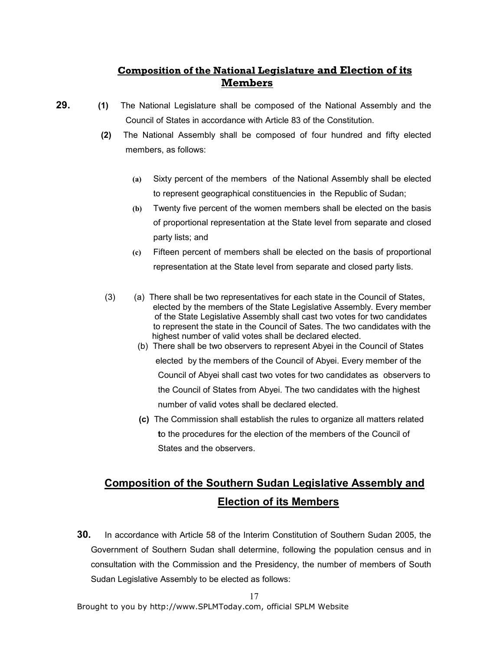# Composition of the National Legislature and Election of its Members

- 29. (1) The National Legislature shall be composed of the National Assembly and the Council of States in accordance with Article 83 of the Constitution.
	- (2) The National Assembly shall be composed of four hundred and fifty elected members, as follows:
		- (a) Sixty percent of the members of the National Assembly shall be elected to represent geographical constituencies in the Republic of Sudan;
		- (b) Twenty five percent of the women members shall be elected on the basis of proportional representation at the State level from separate and closed party lists; and
		- (c) Fifteen percent of members shall be elected on the basis of proportional representation at the State level from separate and closed party lists.
	- (3) (a) There shall be two representatives for each state in the Council of States, elected by the members of the State Legislative Assembly. Every member of the State Legislative Assembly shall cast two votes for two candidates to represent the state in the Council of Sates. The two candidates with the highest number of valid votes shall be declared elected.
		- (b) There shall be two observers to represent Abyei in the Council of States elected by the members of the Council of Abyei. Every member of the Council of Abyei shall cast two votes for two candidates as observers to the Council of States from Abyei. The two candidates with the highest number of valid votes shall be declared elected.
		- (c) The Commission shall establish the rules to organize all matters related to the procedures for the election of the members of the Council of States and the observers.

# Composition of the Southern Sudan Legislative Assembly and Election of its Members

**30.** In accordance with Article 58 of the Interim Constitution of Southern Sudan 2005, the Government of Southern Sudan shall determine, following the population census and in consultation with the Commission and the Presidency, the number of members of South Sudan Legislative Assembly to be elected as follows: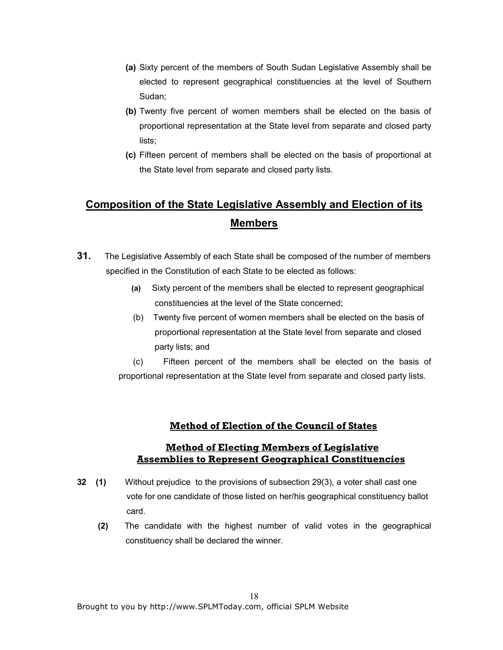- (a) Sixty percent of the members of South Sudan Legislative Assembly shall be elected to represent geographical constituencies at the level of Southern Sudan;
- (b) Twenty five percent of women members shall be elected on the basis of proportional representation at the State level from separate and closed party lists;
- (c) Fifteen percent of members shall be elected on the basis of proportional at the State level from separate and closed party lists.

# Composition of the State Legislative Assembly and Election of its Members

- **31.** The Legislative Assembly of each State shall be composed of the number of members specified in the Constitution of each State to be elected as follows:
	- (a) Sixty percent of the members shall be elected to represent geographical constituencies at the level of the State concerned;
	- (b) Twenty five percent of women members shall be elected on the basis of proportional representation at the State level from separate and closed party lists; and

 (c) Fifteen percent of the members shall be elected on the basis of proportional representation at the State level from separate and closed party lists.

# Method of Election of the Council of States

# Method of Electing Members of Legislative Assemblies to Represent Geographical Constituencies

- 32 (1) Without prejudice to the provisions of subsection 29(3), a voter shall cast one vote for one candidate of those listed on her/his geographical constituency ballot card.
	- (2) The candidate with the highest number of valid votes in the geographical constituency shall be declared the winner.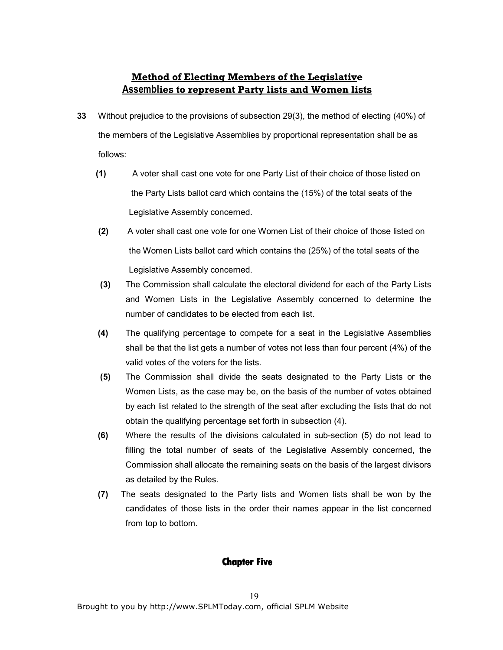# Method of Electing Members of the Legislative Assemblies to represent Party lists and Women lists

- 33 Without prejudice to the provisions of subsection 29(3), the method of electing (40%) of the members of the Legislative Assemblies by proportional representation shall be as follows:
	- (1) A voter shall cast one vote for one Party List of their choice of those listed on the Party Lists ballot card which contains the (15%) of the total seats of the Legislative Assembly concerned.
	- (2) A voter shall cast one vote for one Women List of their choice of those listed on the Women Lists ballot card which contains the (25%) of the total seats of the Legislative Assembly concerned.
	- (3) The Commission shall calculate the electoral dividend for each of the Party Lists and Women Lists in the Legislative Assembly concerned to determine the number of candidates to be elected from each list.
	- (4) The qualifying percentage to compete for a seat in the Legislative Assemblies shall be that the list gets a number of votes not less than four percent (4%) of the valid votes of the voters for the lists.
	- (5) The Commission shall divide the seats designated to the Party Lists or the Women Lists, as the case may be, on the basis of the number of votes obtained by each list related to the strength of the seat after excluding the lists that do not obtain the qualifying percentage set forth in subsection (4).
	- (6) Where the results of the divisions calculated in sub-section (5) do not lead to filling the total number of seats of the Legislative Assembly concerned, the Commission shall allocate the remaining seats on the basis of the largest divisors as detailed by the Rules.
	- (7) The seats designated to the Party lists and Women lists shall be won by the candidates of those lists in the order their names appear in the list concerned from top to bottom.

### **Chapter Five**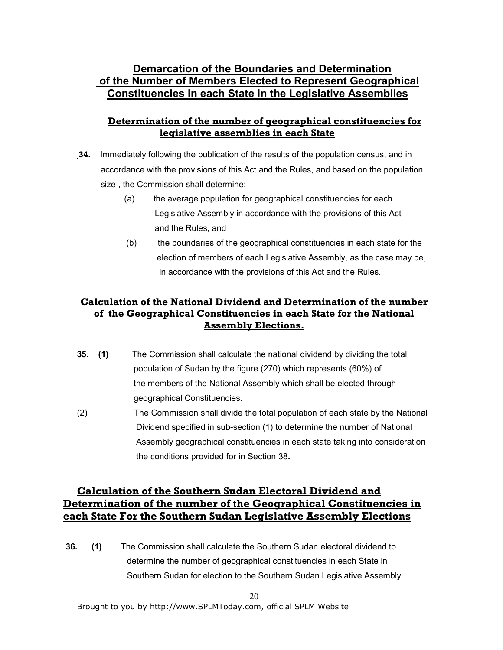# Demarcation of the Boundaries and Determination of the Number of Members Elected to Represent Geographical Constituencies in each State in the Legislative Assemblies

# Determination of the number of geographical constituencies for legislative assemblies in each State

- 34. Immediately following the publication of the results of the population census, and in accordance with the provisions of this Act and the Rules, and based on the population size , the Commission shall determine:
	- (a) the average population for geographical constituencies for each Legislative Assembly in accordance with the provisions of this Act and the Rules, and
	- (b) the boundaries of the geographical constituencies in each state for the election of members of each Legislative Assembly, as the case may be, in accordance with the provisions of this Act and the Rules.

# Calculation of the National Dividend and Determination of the number of the Geographical Constituencies in each State for the National Assembly Elections.

- 35. (1) The Commission shall calculate the national dividend by dividing the total population of Sudan by the figure (270) which represents (60%) of the members of the National Assembly which shall be elected through geographical Constituencies.
- (2) The Commission shall divide the total population of each state by the National Dividend specified in sub-section (1) to determine the number of National Assembly geographical constituencies in each state taking into consideration the conditions provided for in Section 38.

# Calculation of the Southern Sudan Electoral Dividend and Determination of the number of the Geographical Constituencies in each State For the Southern Sudan Legislative Assembly Elections

 36. (1) The Commission shall calculate the Southern Sudan electoral dividend to determine the number of geographical constituencies in each State in Southern Sudan for election to the Southern Sudan Legislative Assembly.

20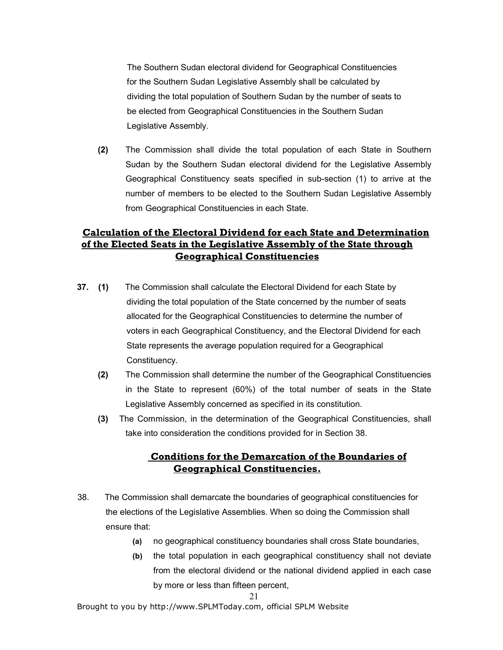The Southern Sudan electoral dividend for Geographical Constituencies for the Southern Sudan Legislative Assembly shall be calculated by dividing the total population of Southern Sudan by the number of seats to be elected from Geographical Constituencies in the Southern Sudan Legislative Assembly.

(2) The Commission shall divide the total population of each State in Southern Sudan by the Southern Sudan electoral dividend for the Legislative Assembly Geographical Constituency seats specified in sub-section (1) to arrive at the number of members to be elected to the Southern Sudan Legislative Assembly from Geographical Constituencies in each State.

# Calculation of the Electoral Dividend for each State and Determination of the Elected Seats in the Legislative Assembly of the State through Geographical Constituencies

- 37. (1) The Commission shall calculate the Electoral Dividend for each State by dividing the total population of the State concerned by the number of seats allocated for the Geographical Constituencies to determine the number of voters in each Geographical Constituency, and the Electoral Dividend for each State represents the average population required for a Geographical Constituency.
	- (2) The Commission shall determine the number of the Geographical Constituencies in the State to represent (60%) of the total number of seats in the State Legislative Assembly concerned as specified in its constitution.
	- (3) The Commission, in the determination of the Geographical Constituencies, shall take into consideration the conditions provided for in Section 38.

# Conditions for the Demarcation of the Boundaries of Geographical Constituencies.

- 38. The Commission shall demarcate the boundaries of geographical constituencies for the elections of the Legislative Assemblies. When so doing the Commission shall ensure that:
	- (a) no geographical constituency boundaries shall cross State boundaries,
	- (b) the total population in each geographical constituency shall not deviate from the electoral dividend or the national dividend applied in each case by more or less than fifteen percent,

#### 21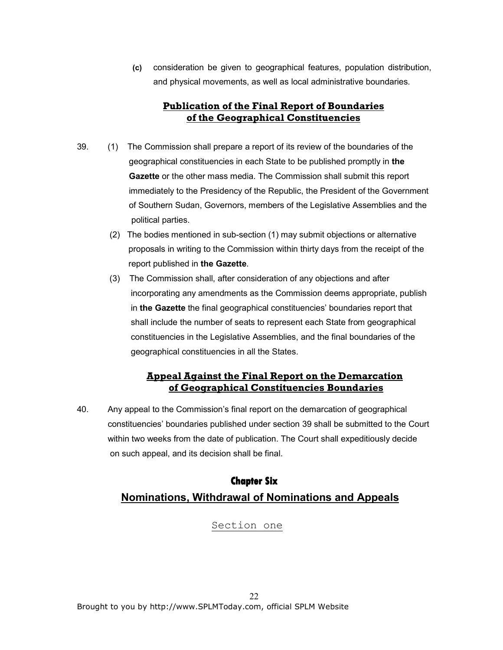(c) consideration be given to geographical features, population distribution, and physical movements, as well as local administrative boundaries.

### Publication of the Final Report of Boundaries of the Geographical Constituencies

- 39. (1) The Commission shall prepare a report of its review of the boundaries of the geographical constituencies in each State to be published promptly in the Gazette or the other mass media. The Commission shall submit this report immediately to the Presidency of the Republic, the President of the Government of Southern Sudan, Governors, members of the Legislative Assemblies and the political parties.
	- (2) The bodies mentioned in sub-section (1) may submit objections or alternative proposals in writing to the Commission within thirty days from the receipt of the report published in the Gazette.
	- (3) The Commission shall, after consideration of any objections and after incorporating any amendments as the Commission deems appropriate, publish in the Gazette the final geographical constituencies' boundaries report that shall include the number of seats to represent each State from geographical constituencies in the Legislative Assemblies, and the final boundaries of the geographical constituencies in all the States.

## Appeal Against the Final Report on the Demarcation of Geographical Constituencies Boundaries

40. Any appeal to the Commission's final report on the demarcation of geographical constituencies' boundaries published under section 39 shall be submitted to the Court within two weeks from the date of publication. The Court shall expeditiously decide on such appeal, and its decision shall be final.

# **Chapter Six**  Nominations, Withdrawal of Nominations and Appeals

### Section one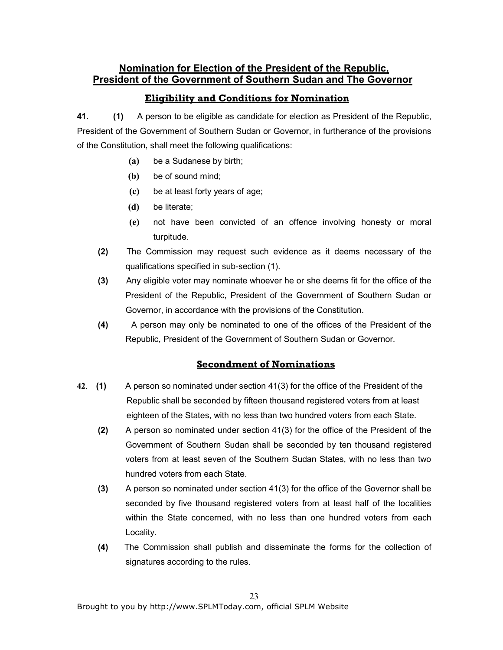# Nomination for Election of the President of the Republic, President of the Government of Southern Sudan and The Governor

# Eligibility and Conditions for Nomination

41. (1) A person to be eligible as candidate for election as President of the Republic, President of the Government of Southern Sudan or Governor, in furtherance of the provisions of the Constitution, shall meet the following qualifications:

- (a) be a Sudanese by birth;
- (b) be of sound mind;
- (c) be at least forty years of age;
- (d) be literate;
- (e) not have been convicted of an offence involving honesty or moral turpitude.
- (2) The Commission may request such evidence as it deems necessary of the qualifications specified in sub-section (1).
- (3) Any eligible voter may nominate whoever he or she deems fit for the office of the President of the Republic, President of the Government of Southern Sudan or Governor, in accordance with the provisions of the Constitution.
- (4) A person may only be nominated to one of the offices of the President of the Republic, President of the Government of Southern Sudan or Governor.

# Secondment of Nominations

- 42. (1) A person so nominated under section 41(3) for the office of the President of the Republic shall be seconded by fifteen thousand registered voters from at least eighteen of the States, with no less than two hundred voters from each State.
	- (2) A person so nominated under section 41(3) for the office of the President of the Government of Southern Sudan shall be seconded by ten thousand registered voters from at least seven of the Southern Sudan States, with no less than two hundred voters from each State.
	- (3) A person so nominated under section 41(3) for the office of the Governor shall be seconded by five thousand registered voters from at least half of the localities within the State concerned, with no less than one hundred voters from each Locality.
	- (4) The Commission shall publish and disseminate the forms for the collection of signatures according to the rules.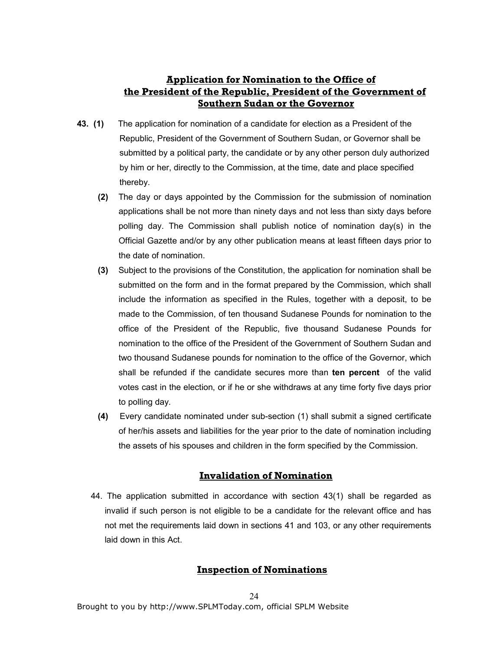# Application for Nomination to the Office of the President of the Republic, President of the Government of Southern Sudan or the Governor

- 43. (1) The application for nomination of a candidate for election as a President of the Republic, President of the Government of Southern Sudan, or Governor shall be submitted by a political party, the candidate or by any other person duly authorized by him or her, directly to the Commission, at the time, date and place specified thereby.
	- (2) The day or days appointed by the Commission for the submission of nomination applications shall be not more than ninety days and not less than sixty days before polling day. The Commission shall publish notice of nomination day(s) in the Official Gazette and/or by any other publication means at least fifteen days prior to the date of nomination.
	- (3) Subject to the provisions of the Constitution, the application for nomination shall be submitted on the form and in the format prepared by the Commission, which shall include the information as specified in the Rules, together with a deposit, to be made to the Commission, of ten thousand Sudanese Pounds for nomination to the office of the President of the Republic, five thousand Sudanese Pounds for nomination to the office of the President of the Government of Southern Sudan and two thousand Sudanese pounds for nomination to the office of the Governor, which shall be refunded if the candidate secures more than ten percent of the valid votes cast in the election, or if he or she withdraws at any time forty five days prior to polling day.
	- (4) Every candidate nominated under sub-section (1) shall submit a signed certificate of her/his assets and liabilities for the year prior to the date of nomination including the assets of his spouses and children in the form specified by the Commission.

# Invalidation of Nomination

44. The application submitted in accordance with section 43(1) shall be regarded as invalid if such person is not eligible to be a candidate for the relevant office and has not met the requirements laid down in sections 41 and 103, or any other requirements laid down in this Act.

### Inspection of Nominations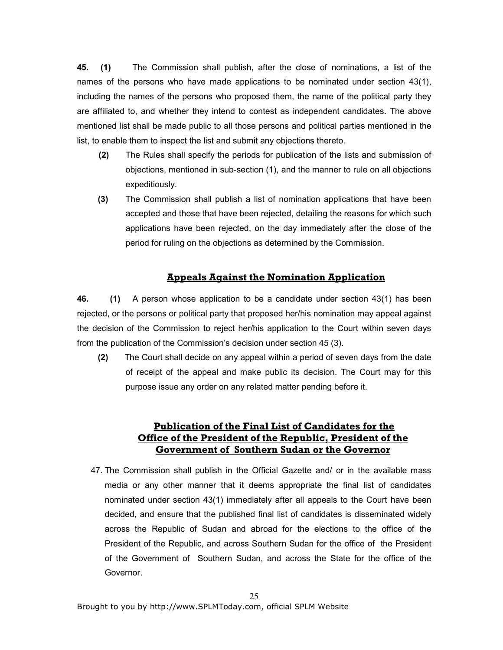45. (1) The Commission shall publish, after the close of nominations, a list of the names of the persons who have made applications to be nominated under section 43(1), including the names of the persons who proposed them, the name of the political party they are affiliated to, and whether they intend to contest as independent candidates. The above mentioned list shall be made public to all those persons and political parties mentioned in the list, to enable them to inspect the list and submit any objections thereto.

- (2) The Rules shall specify the periods for publication of the lists and submission of objections, mentioned in sub-section (1), and the manner to rule on all objections expeditiously.
- (3) The Commission shall publish a list of nomination applications that have been accepted and those that have been rejected, detailing the reasons for which such applications have been rejected, on the day immediately after the close of the period for ruling on the objections as determined by the Commission.

### Appeals Against the Nomination Application

46. (1) A person whose application to be a candidate under section 43(1) has been rejected, or the persons or political party that proposed her/his nomination may appeal against the decision of the Commission to reject her/his application to the Court within seven days from the publication of the Commission's decision under section 45 (3).

(2) The Court shall decide on any appeal within a period of seven days from the date of receipt of the appeal and make public its decision. The Court may for this purpose issue any order on any related matter pending before it.

## Publication of the Final List of Candidates for the Office of the President of the Republic, President of the Government of Southern Sudan or the Governor

47. The Commission shall publish in the Official Gazette and/ or in the available mass media or any other manner that it deems appropriate the final list of candidates nominated under section 43(1) immediately after all appeals to the Court have been decided, and ensure that the published final list of candidates is disseminated widely across the Republic of Sudan and abroad for the elections to the office of the President of the Republic, and across Southern Sudan for the office of the President of the Government of Southern Sudan, and across the State for the office of the Governor.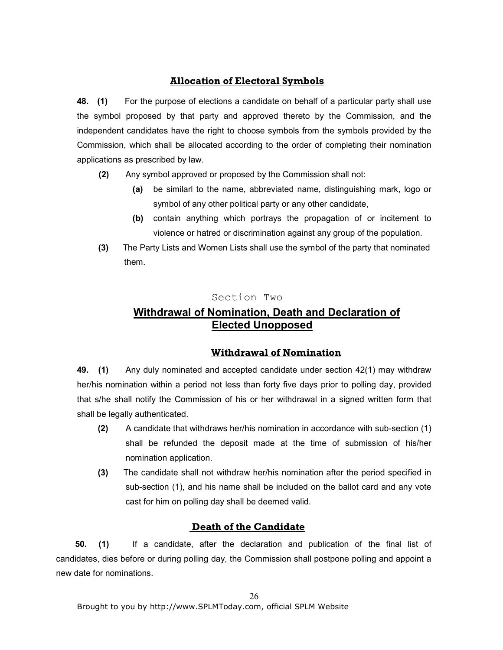# Allocation of Electoral Symbols

48. (1) For the purpose of elections a candidate on behalf of a particular party shall use the symbol proposed by that party and approved thereto by the Commission, and the independent candidates have the right to choose symbols from the symbols provided by the Commission, which shall be allocated according to the order of completing their nomination applications as prescribed by law.

- (2) Any symbol approved or proposed by the Commission shall not:
	- (a) be similarl to the name, abbreviated name, distinguishing mark, logo or symbol of any other political party or any other candidate,
	- (b) contain anything which portrays the propagation of or incitement to violence or hatred or discrimination against any group of the population.
- (3) The Party Lists and Women Lists shall use the symbol of the party that nominated them.

### Section Two

# Withdrawal of Nomination, Death and Declaration of Elected Unopposed

### Withdrawal of Nomination

49. (1) Any duly nominated and accepted candidate under section 42(1) may withdraw her/his nomination within a period not less than forty five days prior to polling day, provided that s/he shall notify the Commission of his or her withdrawal in a signed written form that shall be legally authenticated.

- (2) A candidate that withdraws her/his nomination in accordance with sub-section (1) shall be refunded the deposit made at the time of submission of his/her nomination application.
- (3) The candidate shall not withdraw her/his nomination after the period specified in sub-section (1), and his name shall be included on the ballot card and any vote cast for him on polling day shall be deemed valid.

# Death of the Candidate

 50. (1) If a candidate, after the declaration and publication of the final list of candidates, dies before or during polling day, the Commission shall postpone polling and appoint a new date for nominations.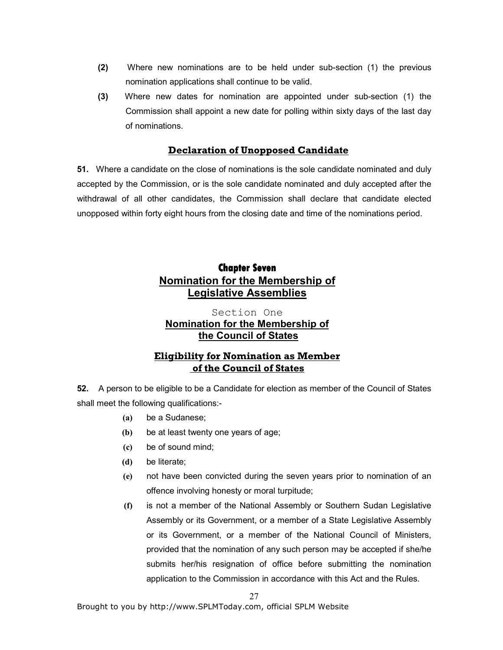- (2) Where new nominations are to be held under sub-section (1) the previous nomination applications shall continue to be valid.
- (3) Where new dates for nomination are appointed under sub-section (1) the Commission shall appoint a new date for polling within sixty days of the last day of nominations.

## Declaration of Unopposed Candidate

51. Where a candidate on the close of nominations is the sole candidate nominated and duly accepted by the Commission, or is the sole candidate nominated and duly accepted after the withdrawal of all other candidates, the Commission shall declare that candidate elected unopposed within forty eight hours from the closing date and time of the nominations period.

# **Chapter Seven** Nomination for the Membership of Legislative Assemblies

## Section One Nomination for the Membership of the Council of States

## Eligibility for Nomination as Member of the Council of States

52. A person to be eligible to be a Candidate for election as member of the Council of States shall meet the following qualifications:-

- (a) be a Sudanese;
- (b) be at least twenty one years of age;
- (c) be of sound mind;
- (d) be literate;
- (e) not have been convicted during the seven years prior to nomination of an offence involving honesty or moral turpitude;
- (f) is not a member of the National Assembly or Southern Sudan Legislative Assembly or its Government, or a member of a State Legislative Assembly or its Government, or a member of the National Council of Ministers, provided that the nomination of any such person may be accepted if she/he submits her/his resignation of office before submitting the nomination application to the Commission in accordance with this Act and the Rules.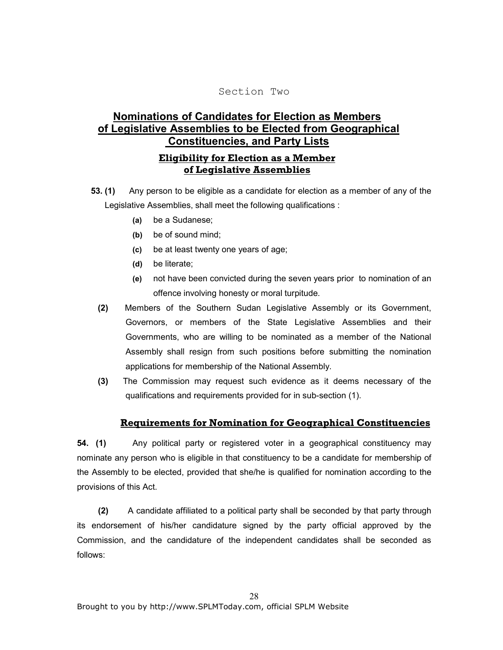#### Section Two

# Nominations of Candidates for Election as Members of Legislative Assemblies to be Elected from Geographical Constituencies, and Party Lists

## Eligibility for Election as a Member of Legislative Assemblies

- 53. (1) Any person to be eligible as a candidate for election as a member of any of the Legislative Assemblies, shall meet the following qualifications :
	- (a) be a Sudanese;
	- (b) be of sound mind;
	- (c) be at least twenty one years of age;
	- (d) be literate;
	- (e) not have been convicted during the seven years prior to nomination of an offence involving honesty or moral turpitude.
	- (2) Members of the Southern Sudan Legislative Assembly or its Government, Governors, or members of the State Legislative Assemblies and their Governments, who are willing to be nominated as a member of the National Assembly shall resign from such positions before submitting the nomination applications for membership of the National Assembly.
	- (3) The Commission may request such evidence as it deems necessary of the qualifications and requirements provided for in sub-section (1).

### Requirements for Nomination for Geographical Constituencies

54. (1) Any political party or registered voter in a geographical constituency may nominate any person who is eligible in that constituency to be a candidate for membership of the Assembly to be elected, provided that she/he is qualified for nomination according to the provisions of this Act.

 (2) A candidate affiliated to a political party shall be seconded by that party through its endorsement of his/her candidature signed by the party official approved by the Commission, and the candidature of the independent candidates shall be seconded as follows: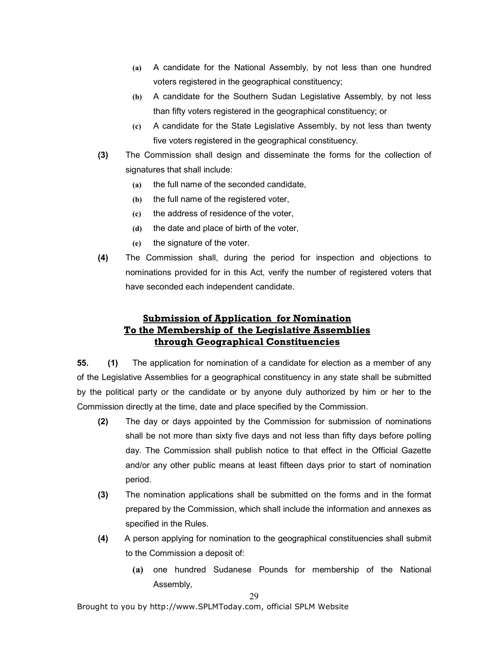- (a) A candidate for the National Assembly, by not less than one hundred voters registered in the geographical constituency;
- (b) A candidate for the Southern Sudan Legislative Assembly, by not less than fifty voters registered in the geographical constituency; or
- (c) A candidate for the State Legislative Assembly, by not less than twenty five voters registered in the geographical constituency.
- (3) The Commission shall design and disseminate the forms for the collection of signatures that shall include:
	- (a) the full name of the seconded candidate,
	- (b) the full name of the registered voter,
	- (c) the address of residence of the voter,
	- (d) the date and place of birth of the voter,
	- (e) the signature of the voter.
- (4) The Commission shall, during the period for inspection and objections to nominations provided for in this Act, verify the number of registered voters that have seconded each independent candidate.

# Submission of Application for Nomination To the Membership of the Legislative Assemblies through Geographical Constituencies

55. (1) The application for nomination of a candidate for election as a member of any of the Legislative Assemblies for a geographical constituency in any state shall be submitted by the political party or the candidate or by anyone duly authorized by him or her to the Commission directly at the time, date and place specified by the Commission.

- (2) The day or days appointed by the Commission for submission of nominations shall be not more than sixty five days and not less than fifty days before polling day. The Commission shall publish notice to that effect in the Official Gazette and/or any other public means at least fifteen days prior to start of nomination period.
- (3) The nomination applications shall be submitted on the forms and in the format prepared by the Commission, which shall include the information and annexes as specified in the Rules.
- (4) A person applying for nomination to the geographical constituencies shall submit to the Commission a deposit of:
	- (a) one hundred Sudanese Pounds for membership of the National Assembly,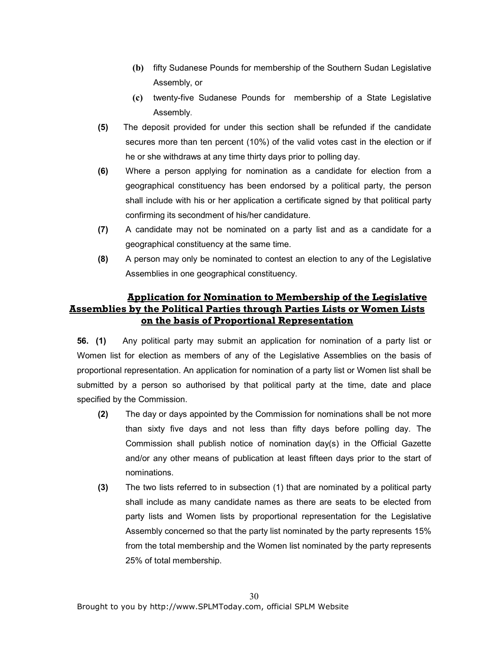- (b) fifty Sudanese Pounds for membership of the Southern Sudan Legislative Assembly, or
- (c) twenty-five Sudanese Pounds for membership of a State Legislative Assembly.
- (5) The deposit provided for under this section shall be refunded if the candidate secures more than ten percent (10%) of the valid votes cast in the election or if he or she withdraws at any time thirty days prior to polling day.
- (6) Where a person applying for nomination as a candidate for election from a geographical constituency has been endorsed by a political party, the person shall include with his or her application a certificate signed by that political party confirming its secondment of his/her candidature.
- (7) A candidate may not be nominated on a party list and as a candidate for a geographical constituency at the same time.
- (8) A person may only be nominated to contest an election to any of the Legislative Assemblies in one geographical constituency.

# Application for Nomination to Membership of the Legislative Assemblies by the Political Parties through Parties Lists or Women Lists on the basis of Proportional Representation

56. (1) Any political party may submit an application for nomination of a party list or Women list for election as members of any of the Legislative Assemblies on the basis of proportional representation. An application for nomination of a party list or Women list shall be submitted by a person so authorised by that political party at the time, date and place specified by the Commission.

- (2) The day or days appointed by the Commission for nominations shall be not more than sixty five days and not less than fifty days before polling day. The Commission shall publish notice of nomination day(s) in the Official Gazette and/or any other means of publication at least fifteen days prior to the start of nominations.
- (3) The two lists referred to in subsection (1) that are nominated by a political party shall include as many candidate names as there are seats to be elected from party lists and Women lists by proportional representation for the Legislative Assembly concerned so that the party list nominated by the party represents 15% from the total membership and the Women list nominated by the party represents 25% of total membership.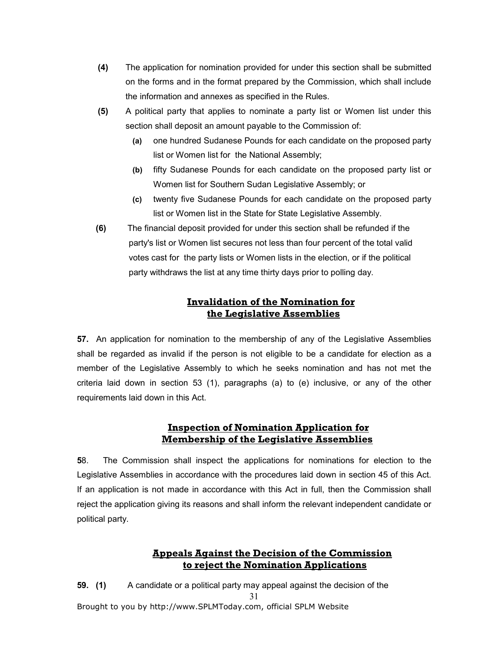- (4) The application for nomination provided for under this section shall be submitted on the forms and in the format prepared by the Commission, which shall include the information and annexes as specified in the Rules.
- (5) A political party that applies to nominate a party list or Women list under this section shall deposit an amount payable to the Commission of:
	- (a) one hundred Sudanese Pounds for each candidate on the proposed party list or Women list for the National Assembly;
	- (b) fifty Sudanese Pounds for each candidate on the proposed party list or Women list for Southern Sudan Legislative Assembly; or
	- (c) twenty five Sudanese Pounds for each candidate on the proposed party list or Women list in the State for State Legislative Assembly.
- (6) The financial deposit provided for under this section shall be refunded if the party's list or Women list secures not less than four percent of the total valid votes cast for the party lists or Women lists in the election, or if the political party withdraws the list at any time thirty days prior to polling day.

# Invalidation of the Nomination for the Legislative Assemblies

57. An application for nomination to the membership of any of the Legislative Assemblies shall be regarded as invalid if the person is not eligible to be a candidate for election as a member of the Legislative Assembly to which he seeks nomination and has not met the criteria laid down in section 53 (1), paragraphs (a) to (e) inclusive, or any of the other requirements laid down in this Act.

# Inspection of Nomination Application for Membership of the Legislative Assemblies

58. The Commission shall inspect the applications for nominations for election to the Legislative Assemblies in accordance with the procedures laid down in section 45 of this Act. If an application is not made in accordance with this Act in full, then the Commission shall reject the application giving its reasons and shall inform the relevant independent candidate or political party.

# Appeals Against the Decision of the Commission to reject the Nomination Applications

Brought to you by http://www.SPLMToday.com, official SPLM Website 31 59. (1) A candidate or a political party may appeal against the decision of the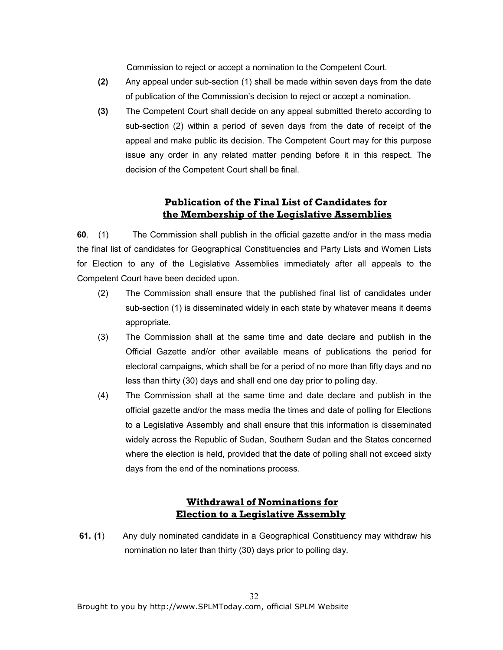Commission to reject or accept a nomination to the Competent Court.

- (2) Any appeal under sub-section (1) shall be made within seven days from the date of publication of the Commission's decision to reject or accept a nomination.
- (3) The Competent Court shall decide on any appeal submitted thereto according to sub-section (2) within a period of seven days from the date of receipt of the appeal and make public its decision. The Competent Court may for this purpose issue any order in any related matter pending before it in this respect. The decision of the Competent Court shall be final.

## Publication of the Final List of Candidates for the Membership of the Legislative Assemblies

60. (1) The Commission shall publish in the official gazette and/or in the mass media the final list of candidates for Geographical Constituencies and Party Lists and Women Lists for Election to any of the Legislative Assemblies immediately after all appeals to the Competent Court have been decided upon.

- (2) The Commission shall ensure that the published final list of candidates under sub-section (1) is disseminated widely in each state by whatever means it deems appropriate.
- (3) The Commission shall at the same time and date declare and publish in the Official Gazette and/or other available means of publications the period for electoral campaigns, which shall be for a period of no more than fifty days and no less than thirty (30) days and shall end one day prior to polling day.
- (4) The Commission shall at the same time and date declare and publish in the official gazette and/or the mass media the times and date of polling for Elections to a Legislative Assembly and shall ensure that this information is disseminated widely across the Republic of Sudan, Southern Sudan and the States concerned where the election is held, provided that the date of polling shall not exceed sixty days from the end of the nominations process.

# Withdrawal of Nominations for Election to a Legislative Assembly

 61. (1) Any duly nominated candidate in a Geographical Constituency may withdraw his nomination no later than thirty (30) days prior to polling day.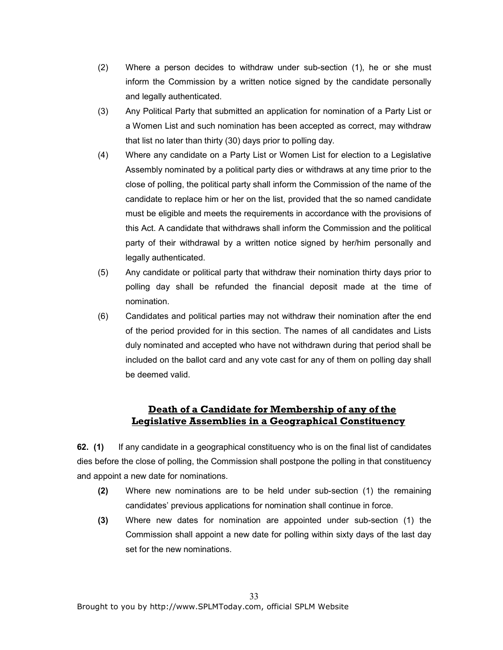- (2) Where a person decides to withdraw under sub-section (1), he or she must inform the Commission by a written notice signed by the candidate personally and legally authenticated.
- (3) Any Political Party that submitted an application for nomination of a Party List or a Women List and such nomination has been accepted as correct, may withdraw that list no later than thirty (30) days prior to polling day.
- (4) Where any candidate on a Party List or Women List for election to a Legislative Assembly nominated by a political party dies or withdraws at any time prior to the close of polling, the political party shall inform the Commission of the name of the candidate to replace him or her on the list, provided that the so named candidate must be eligible and meets the requirements in accordance with the provisions of this Act. A candidate that withdraws shall inform the Commission and the political party of their withdrawal by a written notice signed by her/him personally and legally authenticated.
- (5) Any candidate or political party that withdraw their nomination thirty days prior to polling day shall be refunded the financial deposit made at the time of nomination.
- (6) Candidates and political parties may not withdraw their nomination after the end of the period provided for in this section. The names of all candidates and Lists duly nominated and accepted who have not withdrawn during that period shall be included on the ballot card and any vote cast for any of them on polling day shall be deemed valid.

# Death of a Candidate for Membership of any of the Legislative Assemblies in a Geographical Constituency

62. (1) If any candidate in a geographical constituency who is on the final list of candidates dies before the close of polling, the Commission shall postpone the polling in that constituency and appoint a new date for nominations.

- (2) Where new nominations are to be held under sub-section (1) the remaining candidates' previous applications for nomination shall continue in force.
- (3) Where new dates for nomination are appointed under sub-section (1) the Commission shall appoint a new date for polling within sixty days of the last day set for the new nominations.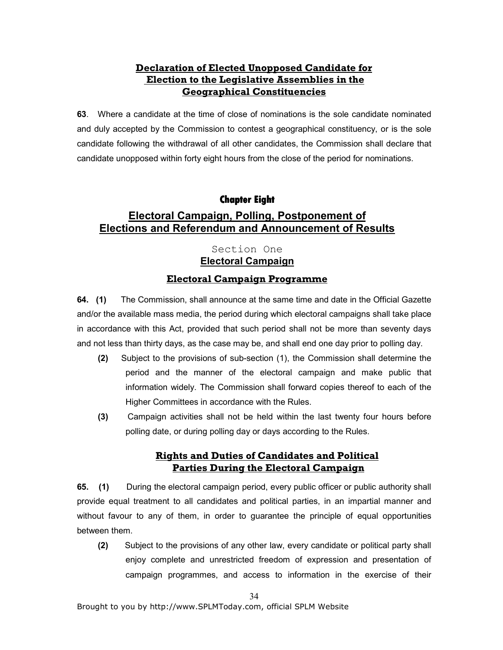# Declaration of Elected Unopposed Candidate for Election to the Legislative Assemblies in the Geographical Constituencies

63. Where a candidate at the time of close of nominations is the sole candidate nominated and duly accepted by the Commission to contest a geographical constituency, or is the sole candidate following the withdrawal of all other candidates, the Commission shall declare that candidate unopposed within forty eight hours from the close of the period for nominations.

# **Chapter Eight**

# Electoral Campaign, Polling, Postponement of Elections and Referendum and Announcement of Results

# Section One Electoral Campaign

## Electoral Campaign Programme

64. (1) The Commission, shall announce at the same time and date in the Official Gazette and/or the available mass media, the period during which electoral campaigns shall take place in accordance with this Act, provided that such period shall not be more than seventy days and not less than thirty days, as the case may be, and shall end one day prior to polling day.

- (2) Subject to the provisions of sub-section (1), the Commission shall determine the period and the manner of the electoral campaign and make public that information widely. The Commission shall forward copies thereof to each of the Higher Committees in accordance with the Rules.
- (3) Campaign activities shall not be held within the last twenty four hours before polling date, or during polling day or days according to the Rules.

# Rights and Duties of Candidates and Political Parties During the Electoral Campaign

65. (1) During the electoral campaign period, every public officer or public authority shall provide equal treatment to all candidates and political parties, in an impartial manner and without favour to any of them, in order to guarantee the principle of equal opportunities between them.

(2) Subject to the provisions of any other law, every candidate or political party shall enjoy complete and unrestricted freedom of expression and presentation of campaign programmes, and access to information in the exercise of their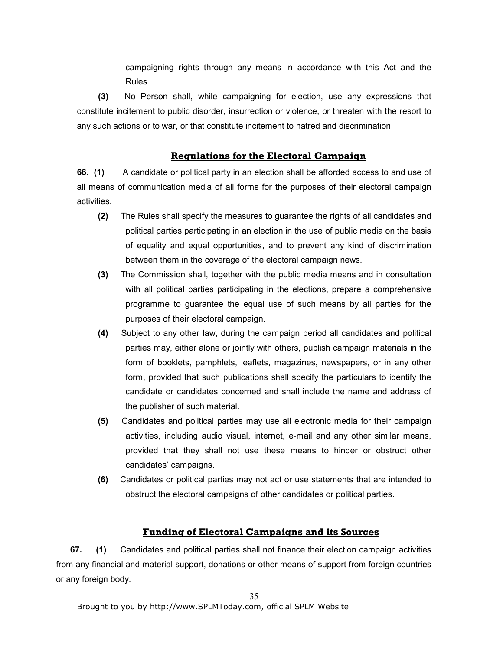campaigning rights through any means in accordance with this Act and the Rules.

 (3) No Person shall, while campaigning for election, use any expressions that constitute incitement to public disorder, insurrection or violence, or threaten with the resort to any such actions or to war, or that constitute incitement to hatred and discrimination.

#### Regulations for the Electoral Campaign

66. (1) A candidate or political party in an election shall be afforded access to and use of all means of communication media of all forms for the purposes of their electoral campaign activities.

- (2) The Rules shall specify the measures to guarantee the rights of all candidates and political parties participating in an election in the use of public media on the basis of equality and equal opportunities, and to prevent any kind of discrimination between them in the coverage of the electoral campaign news.
- (3) The Commission shall, together with the public media means and in consultation with all political parties participating in the elections, prepare a comprehensive programme to guarantee the equal use of such means by all parties for the purposes of their electoral campaign.
- (4) Subject to any other law, during the campaign period all candidates and political parties may, either alone or jointly with others, publish campaign materials in the form of booklets, pamphlets, leaflets, magazines, newspapers, or in any other form, provided that such publications shall specify the particulars to identify the candidate or candidates concerned and shall include the name and address of the publisher of such material.
- (5) Candidates and political parties may use all electronic media for their campaign activities, including audio visual, internet, e-mail and any other similar means, provided that they shall not use these means to hinder or obstruct other candidates' campaigns.
- (6) Candidates or political parties may not act or use statements that are intended to obstruct the electoral campaigns of other candidates or political parties.

#### Funding of Electoral Campaigns and its Sources

 67. (1) Candidates and political parties shall not finance their election campaign activities from any financial and material support, donations or other means of support from foreign countries or any foreign body.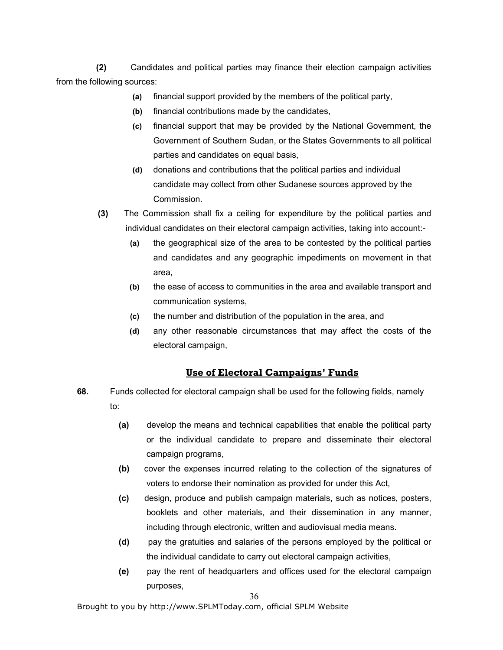(2) Candidates and political parties may finance their election campaign activities from the following sources:

- (a) financial support provided by the members of the political party,
- (b) financial contributions made by the candidates,
- (c) financial support that may be provided by the National Government, the Government of Southern Sudan, or the States Governments to all political parties and candidates on equal basis,
- (d) donations and contributions that the political parties and individual candidate may collect from other Sudanese sources approved by the Commission.
- (3) The Commission shall fix a ceiling for expenditure by the political parties and individual candidates on their electoral campaign activities, taking into account:-
	- (a) the geographical size of the area to be contested by the political parties and candidates and any geographic impediments on movement in that area,
	- (b) the ease of access to communities in the area and available transport and communication systems,
	- (c) the number and distribution of the population in the area, and
	- (d) any other reasonable circumstances that may affect the costs of the electoral campaign,

### Use of Electoral Campaigns' Funds

- 68. Funds collected for electoral campaign shall be used for the following fields, namely to:
	- (a) develop the means and technical capabilities that enable the political party or the individual candidate to prepare and disseminate their electoral campaign programs,
	- (b) cover the expenses incurred relating to the collection of the signatures of voters to endorse their nomination as provided for under this Act,
	- (c) design, produce and publish campaign materials, such as notices, posters, booklets and other materials, and their dissemination in any manner, including through electronic, written and audiovisual media means.
	- (d) pay the gratuities and salaries of the persons employed by the political or the individual candidate to carry out electoral campaign activities,
	- (e) pay the rent of headquarters and offices used for the electoral campaign purposes,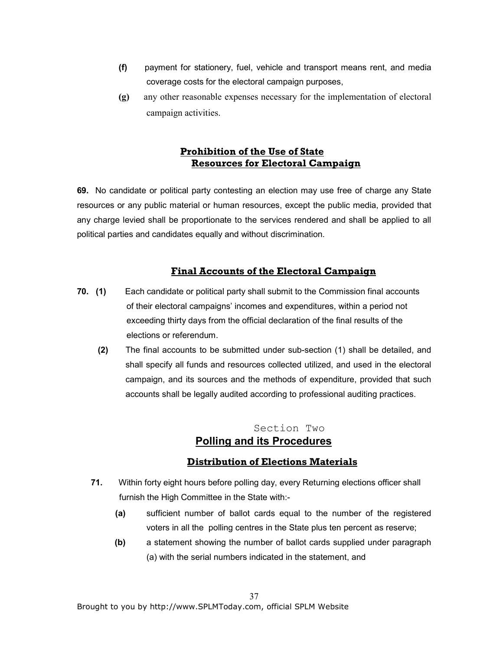- (f) payment for stationery, fuel, vehicle and transport means rent, and media coverage costs for the electoral campaign purposes,
- (g) any other reasonable expenses necessary for the implementation of electoral campaign activities.

# Prohibition of the Use of State Resources for Electoral Campaign

69. No candidate or political party contesting an election may use free of charge any State resources or any public material or human resources, except the public media, provided that any charge levied shall be proportionate to the services rendered and shall be applied to all political parties and candidates equally and without discrimination.

# Final Accounts of the Electoral Campaign

- 70. (1) Each candidate or political party shall submit to the Commission final accounts of their electoral campaigns' incomes and expenditures, within a period not exceeding thirty days from the official declaration of the final results of the elections or referendum.
	- (2) The final accounts to be submitted under sub-section (1) shall be detailed, and shall specify all funds and resources collected utilized, and used in the electoral campaign, and its sources and the methods of expenditure, provided that such accounts shall be legally audited according to professional auditing practices.

# Section Two Polling and its Procedures

# Distribution of Elections Materials

- 71. Within forty eight hours before polling day, every Returning elections officer shall furnish the High Committee in the State with:-
	- (a) sufficient number of ballot cards equal to the number of the registered voters in all the polling centres in the State plus ten percent as reserve;
	- (b) a statement showing the number of ballot cards supplied under paragraph (a) with the serial numbers indicated in the statement, and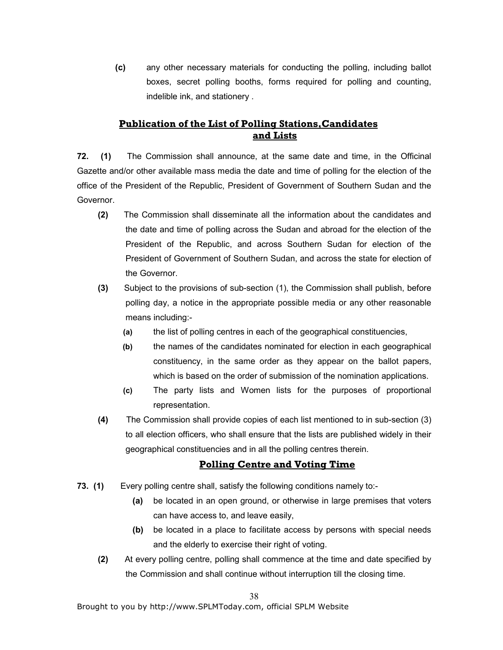(c) any other necessary materials for conducting the polling, including ballot boxes, secret polling booths, forms required for polling and counting, indelible ink, and stationery .

# Publication of the List of Polling Stations,Candidates and Lists

72. (1) The Commission shall announce, at the same date and time, in the Officinal Gazette and/or other available mass media the date and time of polling for the election of the office of the President of the Republic, President of Government of Southern Sudan and the Governor.

- (2) The Commission shall disseminate all the information about the candidates and the date and time of polling across the Sudan and abroad for the election of the President of the Republic, and across Southern Sudan for election of the President of Government of Southern Sudan, and across the state for election of the Governor.
- (3) Subject to the provisions of sub-section (1), the Commission shall publish, before polling day, a notice in the appropriate possible media or any other reasonable means including:-
	- (a) the list of polling centres in each of the geographical constituencies,
	- (b) the names of the candidates nominated for election in each geographical constituency, in the same order as they appear on the ballot papers, which is based on the order of submission of the nomination applications.
	- (c) The party lists and Women lists for the purposes of proportional representation.
- (4) The Commission shall provide copies of each list mentioned to in sub-section (3) to all election officers, who shall ensure that the lists are published widely in their geographical constituencies and in all the polling centres therein.

# Polling Centre and Voting Time

- 73. (1) Every polling centre shall, satisfy the following conditions namely to:-
	- (a) be located in an open ground, or otherwise in large premises that voters can have access to, and leave easily,
	- (b) be located in a place to facilitate access by persons with special needs and the elderly to exercise their right of voting.
	- (2) At every polling centre, polling shall commence at the time and date specified by the Commission and shall continue without interruption till the closing time.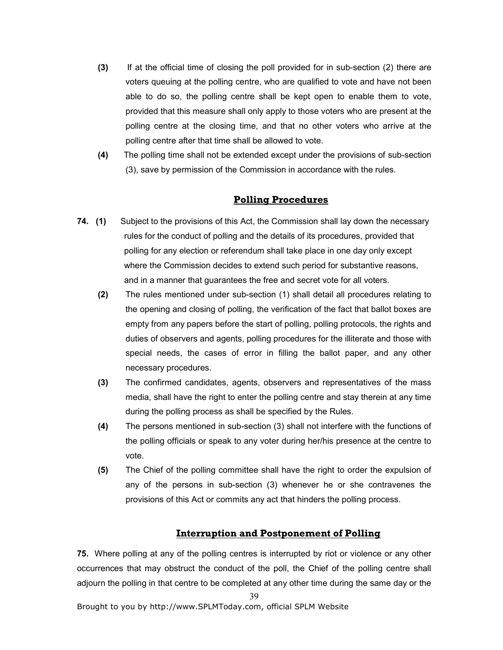- (3) If at the official time of closing the poll provided for in sub-section (2) there are voters queuing at the polling centre, who are qualified to vote and have not been able to do so, the polling centre shall be kept open to enable them to vote, provided that this measure shall only apply to those voters who are present at the polling centre at the closing time, and that no other voters who arrive at the polling centre after that time shall be allowed to vote.
- (4) The polling time shall not be extended except under the provisions of sub-section (3), save by permission of the Commission in accordance with the rules.

### Polling Procedures

- 74. (1) Subject to the provisions of this Act, the Commission shall lay down the necessary rules for the conduct of polling and the details of its procedures, provided that polling for any election or referendum shall take place in one day only except where the Commission decides to extend such period for substantive reasons, and in a manner that guarantees the free and secret vote for all voters.
	- (2) The rules mentioned under sub-section (1) shall detail all procedures relating to the opening and closing of polling, the verification of the fact that ballot boxes are empty from any papers before the start of polling, polling protocols, the rights and duties of observers and agents, polling procedures for the illiterate and those with special needs, the cases of error in filling the ballot paper, and any other necessary procedures.
	- (3) The confirmed candidates, agents, observers and representatives of the mass media, shall have the right to enter the polling centre and stay therein at any time during the polling process as shall be specified by the Rules.
	- (4) The persons mentioned in sub-section (3) shall not interfere with the functions of the polling officials or speak to any voter during her/his presence at the centre to vote.
	- (5) The Chief of the polling committee shall have the right to order the expulsion of any of the persons in sub-section (3) whenever he or she contravenes the provisions of this Act or commits any act that hinders the polling process.

#### Interruption and Postponement of Polling

75. Where polling at any of the polling centres is interrupted by riot or violence or any other occurrences that may obstruct the conduct of the poll, the Chief of the polling centre shall adjourn the polling in that centre to be completed at any other time during the same day or the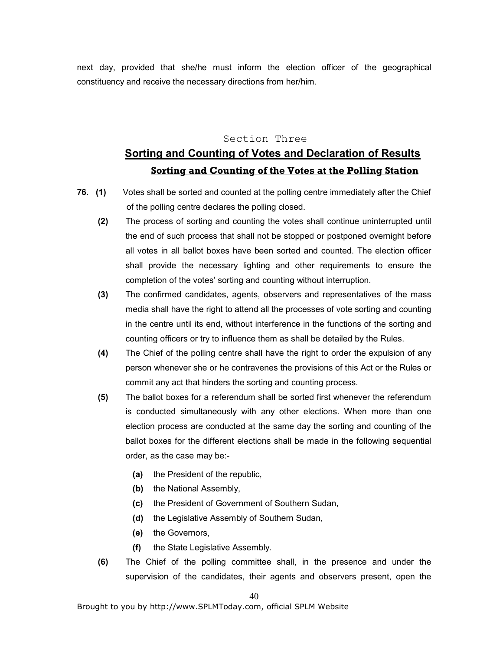next day, provided that she/he must inform the election officer of the geographical constituency and receive the necessary directions from her/him.

#### Section Three

# Sorting and Counting of Votes and Declaration of Results Sorting and Counting of the Votes at the Polling Station

- 76. (1) Votes shall be sorted and counted at the polling centre immediately after the Chief of the polling centre declares the polling closed.
	- (2) The process of sorting and counting the votes shall continue uninterrupted until the end of such process that shall not be stopped or postponed overnight before all votes in all ballot boxes have been sorted and counted. The election officer shall provide the necessary lighting and other requirements to ensure the completion of the votes' sorting and counting without interruption.
	- (3) The confirmed candidates, agents, observers and representatives of the mass media shall have the right to attend all the processes of vote sorting and counting in the centre until its end, without interference in the functions of the sorting and counting officers or try to influence them as shall be detailed by the Rules.
	- (4) The Chief of the polling centre shall have the right to order the expulsion of any person whenever she or he contravenes the provisions of this Act or the Rules or commit any act that hinders the sorting and counting process.
	- (5) The ballot boxes for a referendum shall be sorted first whenever the referendum is conducted simultaneously with any other elections. When more than one election process are conducted at the same day the sorting and counting of the ballot boxes for the different elections shall be made in the following sequential order, as the case may be:-
		- (a) the President of the republic,
		- (b) the National Assembly,
		- (c) the President of Government of Southern Sudan,
		- (d) the Legislative Assembly of Southern Sudan,
		- (e) the Governors,
		- (f) the State Legislative Assembly.
	- (6) The Chief of the polling committee shall, in the presence and under the supervision of the candidates, their agents and observers present, open the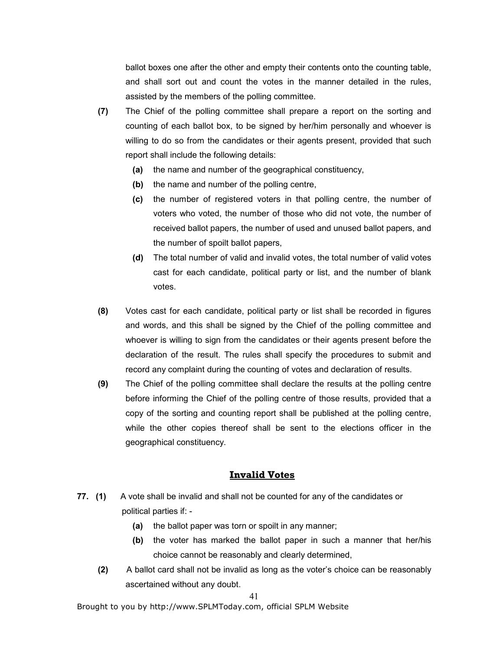ballot boxes one after the other and empty their contents onto the counting table, and shall sort out and count the votes in the manner detailed in the rules, assisted by the members of the polling committee.

- (7) The Chief of the polling committee shall prepare a report on the sorting and counting of each ballot box, to be signed by her/him personally and whoever is willing to do so from the candidates or their agents present, provided that such report shall include the following details:
	- (a) the name and number of the geographical constituency,
	- (b) the name and number of the polling centre,
	- (c) the number of registered voters in that polling centre, the number of voters who voted, the number of those who did not vote, the number of received ballot papers, the number of used and unused ballot papers, and the number of spoilt ballot papers,
	- (d) The total number of valid and invalid votes, the total number of valid votes cast for each candidate, political party or list, and the number of blank votes.
- (8) Votes cast for each candidate, political party or list shall be recorded in figures and words, and this shall be signed by the Chief of the polling committee and whoever is willing to sign from the candidates or their agents present before the declaration of the result. The rules shall specify the procedures to submit and record any complaint during the counting of votes and declaration of results.
- (9) The Chief of the polling committee shall declare the results at the polling centre before informing the Chief of the polling centre of those results, provided that a copy of the sorting and counting report shall be published at the polling centre, while the other copies thereof shall be sent to the elections officer in the geographical constituency.

#### Invalid Votes

- 77. (1) A vote shall be invalid and shall not be counted for any of the candidates or political parties if: -
	- (a) the ballot paper was torn or spoilt in any manner;
	- (b) the voter has marked the ballot paper in such a manner that her/his choice cannot be reasonably and clearly determined,
	- (2) A ballot card shall not be invalid as long as the voter's choice can be reasonably ascertained without any doubt.

#### 41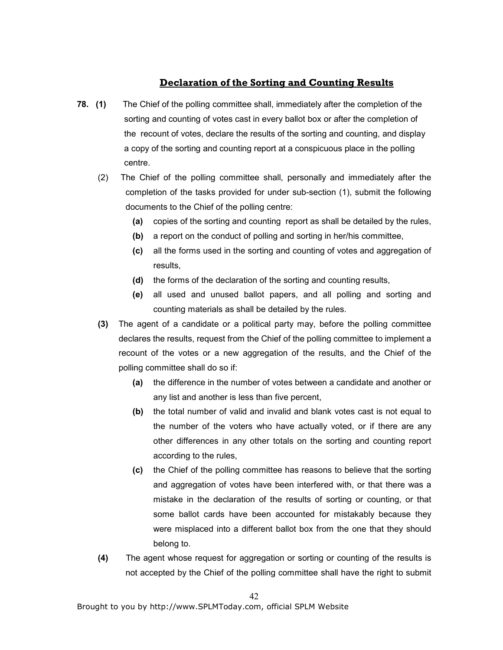# Declaration of the Sorting and Counting Results

- 78. (1) The Chief of the polling committee shall, immediately after the completion of the sorting and counting of votes cast in every ballot box or after the completion of the recount of votes, declare the results of the sorting and counting, and display a copy of the sorting and counting report at a conspicuous place in the polling centre.
	- (2) The Chief of the polling committee shall, personally and immediately after the completion of the tasks provided for under sub-section (1), submit the following documents to the Chief of the polling centre:
		- (a) copies of the sorting and counting report as shall be detailed by the rules,
		- (b) a report on the conduct of polling and sorting in her/his committee,
		- (c) all the forms used in the sorting and counting of votes and aggregation of results,
		- (d) the forms of the declaration of the sorting and counting results,
		- (e) all used and unused ballot papers, and all polling and sorting and counting materials as shall be detailed by the rules.
	- (3) The agent of a candidate or a political party may, before the polling committee declares the results, request from the Chief of the polling committee to implement a recount of the votes or a new aggregation of the results, and the Chief of the polling committee shall do so if:
		- (a) the difference in the number of votes between a candidate and another or any list and another is less than five percent,
		- (b) the total number of valid and invalid and blank votes cast is not equal to the number of the voters who have actually voted, or if there are any other differences in any other totals on the sorting and counting report according to the rules,
		- (c) the Chief of the polling committee has reasons to believe that the sorting and aggregation of votes have been interfered with, or that there was a mistake in the declaration of the results of sorting or counting, or that some ballot cards have been accounted for mistakably because they were misplaced into a different ballot box from the one that they should belong to.
	- (4) The agent whose request for aggregation or sorting or counting of the results is not accepted by the Chief of the polling committee shall have the right to submit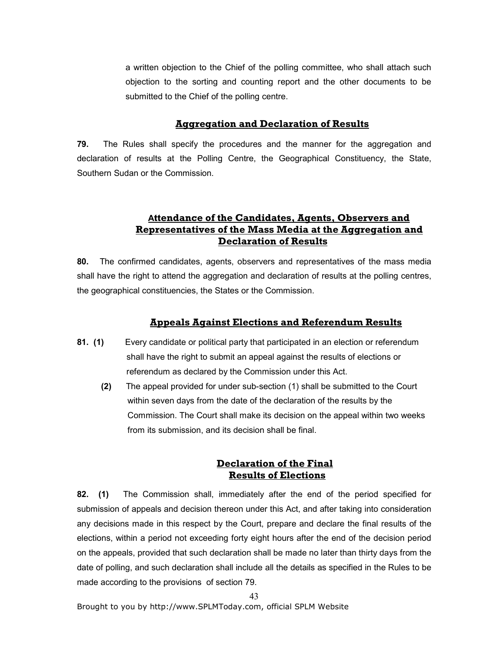a written objection to the Chief of the polling committee, who shall attach such objection to the sorting and counting report and the other documents to be submitted to the Chief of the polling centre.

### Aggregation and Declaration of Results

79. The Rules shall specify the procedures and the manner for the aggregation and declaration of results at the Polling Centre, the Geographical Constituency, the State, Southern Sudan or the Commission.

# Attendance of the Candidates, Agents, Observers and Representatives of the Mass Media at the Aggregation and Declaration of Results

80. The confirmed candidates, agents, observers and representatives of the mass media shall have the right to attend the aggregation and declaration of results at the polling centres, the geographical constituencies, the States or the Commission.

#### Appeals Against Elections and Referendum Results

- 81. (1) Every candidate or political party that participated in an election or referendum shall have the right to submit an appeal against the results of elections or referendum as declared by the Commission under this Act.
	- (2) The appeal provided for under sub-section (1) shall be submitted to the Court within seven days from the date of the declaration of the results by the Commission. The Court shall make its decision on the appeal within two weeks from its submission, and its decision shall be final.

### Declaration of the Final Results of Elections

82. (1) The Commission shall, immediately after the end of the period specified for submission of appeals and decision thereon under this Act, and after taking into consideration any decisions made in this respect by the Court, prepare and declare the final results of the elections, within a period not exceeding forty eight hours after the end of the decision period on the appeals, provided that such declaration shall be made no later than thirty days from the date of polling, and such declaration shall include all the details as specified in the Rules to be made according to the provisions of section 79.

43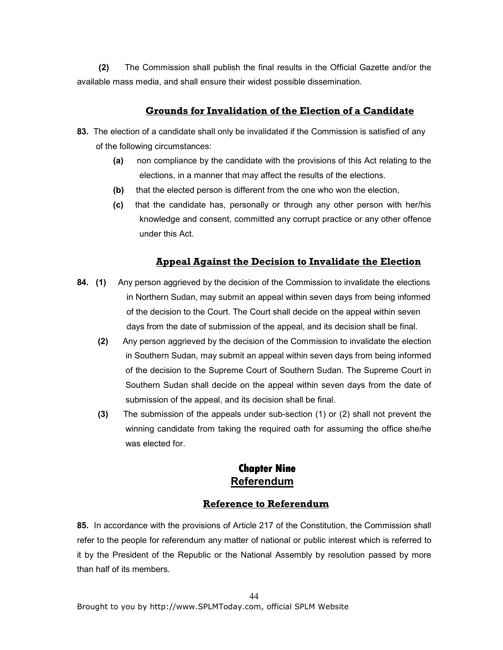(2) The Commission shall publish the final results in the Official Gazette and/or the available mass media, and shall ensure their widest possible dissemination.

### Grounds for Invalidation of the Election of a Candidate

- 83. The election of a candidate shall only be invalidated if the Commission is satisfied of any of the following circumstances:
	- (a) non compliance by the candidate with the provisions of this Act relating to the elections, in a manner that may affect the results of the elections.
	- (b) that the elected person is different from the one who won the election,
	- (c) that the candidate has, personally or through any other person with her/his knowledge and consent, committed any corrupt practice or any other offence under this Act.

### Appeal Against the Decision to Invalidate the Election

- 84. (1) Any person aggrieved by the decision of the Commission to invalidate the elections in Northern Sudan, may submit an appeal within seven days from being informed of the decision to the Court. The Court shall decide on the appeal within seven days from the date of submission of the appeal, and its decision shall be final.
	- (2) Any person aggrieved by the decision of the Commission to invalidate the election in Southern Sudan, may submit an appeal within seven days from being informed of the decision to the Supreme Court of Southern Sudan. The Supreme Court in Southern Sudan shall decide on the appeal within seven days from the date of submission of the appeal, and its decision shall be final.
	- (3) The submission of the appeals under sub-section (1) or (2) shall not prevent the winning candidate from taking the required oath for assuming the office she/he was elected for.

# **Chapter Chapter Nine** Referendum

#### Reference to Referendum

85. In accordance with the provisions of Article 217 of the Constitution, the Commission shall refer to the people for referendum any matter of national or public interest which is referred to it by the President of the Republic or the National Assembly by resolution passed by more than half of its members.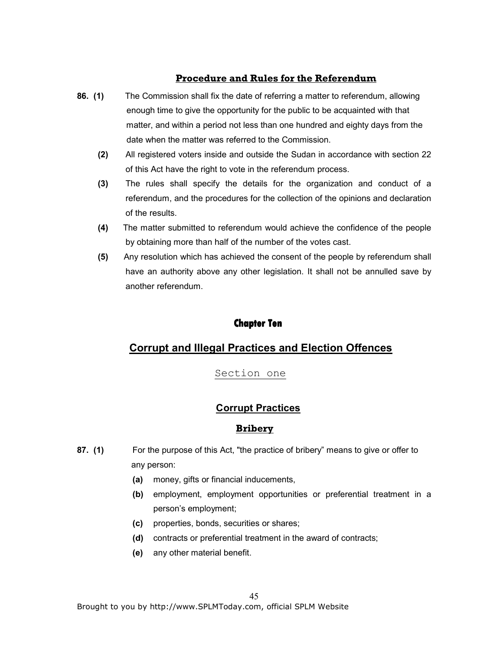# Procedure and Rules for the Referendum

- 86. (1) The Commission shall fix the date of referring a matter to referendum, allowing enough time to give the opportunity for the public to be acquainted with that matter, and within a period not less than one hundred and eighty days from the date when the matter was referred to the Commission.
	- (2) All registered voters inside and outside the Sudan in accordance with section 22 of this Act have the right to vote in the referendum process.
	- (3) The rules shall specify the details for the organization and conduct of a referendum, and the procedures for the collection of the opinions and declaration of the results.
	- (4) The matter submitted to referendum would achieve the confidence of the people by obtaining more than half of the number of the votes cast.
	- (5) Any resolution which has achieved the consent of the people by referendum shall have an authority above any other legislation. It shall not be annulled save by another referendum.

# **Chapter Ten**

# Corrupt and Illegal Practices and Election Offences

# Section one

# Corrupt Practices

# **Bribery**

- 87. (1) For the purpose of this Act, "the practice of bribery" means to give or offer to any person:
	- (a) money, gifts or financial inducements,
	- (b) employment, employment opportunities or preferential treatment in a person's employment;
	- (c) properties, bonds, securities or shares;
	- (d) contracts or preferential treatment in the award of contracts;
	- (e) any other material benefit.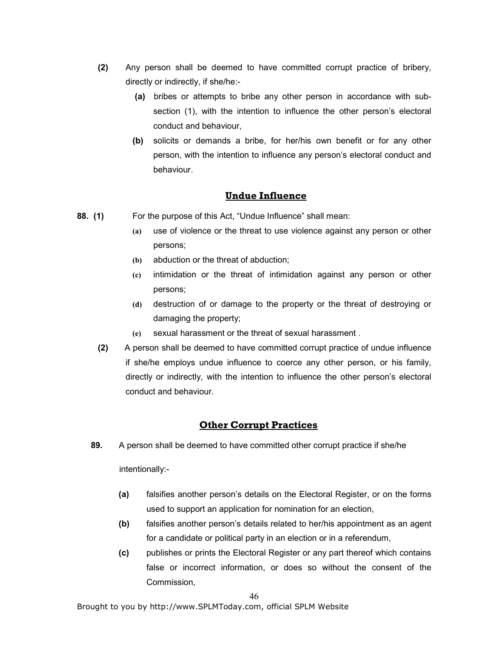- (2) Any person shall be deemed to have committed corrupt practice of bribery, directly or indirectly, if she/he:-
	- (a) bribes or attempts to bribe any other person in accordance with subsection (1), with the intention to influence the other person's electoral conduct and behaviour,
	- (b) solicits or demands a bribe, for her/his own benefit or for any other person, with the intention to influence any person's electoral conduct and behaviour.

#### Undue Influence

- 88. (1) For the purpose of this Act, "Undue Influence" shall mean:
	- (a) use of violence or the threat to use violence against any person or other persons;
	- (b) abduction or the threat of abduction;
	- (c) intimidation or the threat of intimidation against any person or other persons;
	- (d) destruction of or damage to the property or the threat of destroying or damaging the property;
	- (e) sexual harassment or the threat of sexual harassment .
	- (2) A person shall be deemed to have committed corrupt practice of undue influence if she/he employs undue influence to coerce any other person, or his family, directly or indirectly, with the intention to influence the other person's electoral conduct and behaviour.

## Other Corrupt Practices

89. A person shall be deemed to have committed other corrupt practice if she/he

intentionally:-

- (a) falsifies another person's details on the Electoral Register, or on the forms used to support an application for nomination for an election,
- (b) falsifies another person's details related to her/his appointment as an agent for a candidate or political party in an election or in a referendum,
- (c) publishes or prints the Electoral Register or any part thereof which contains false or incorrect information, or does so without the consent of the Commission,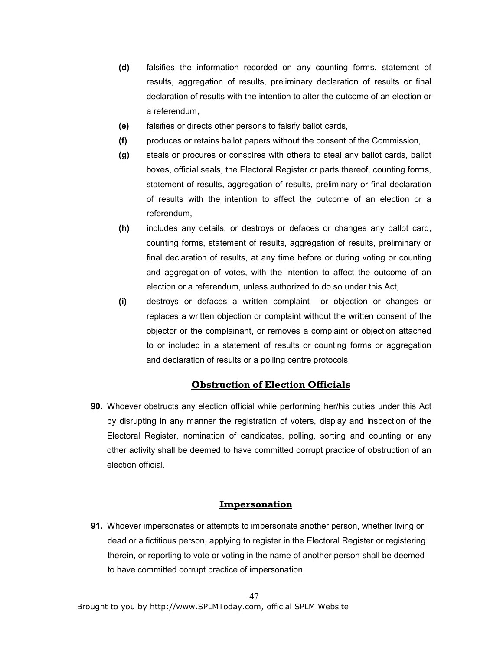- (d) falsifies the information recorded on any counting forms, statement of results, aggregation of results, preliminary declaration of results or final declaration of results with the intention to alter the outcome of an election or a referendum,
- (e) falsifies or directs other persons to falsify ballot cards,
- (f) produces or retains ballot papers without the consent of the Commission,
- (g) steals or procures or conspires with others to steal any ballot cards, ballot boxes, official seals, the Electoral Register or parts thereof, counting forms, statement of results, aggregation of results, preliminary or final declaration of results with the intention to affect the outcome of an election or a referendum,
- (h) includes any details, or destroys or defaces or changes any ballot card, counting forms, statement of results, aggregation of results, preliminary or final declaration of results, at any time before or during voting or counting and aggregation of votes, with the intention to affect the outcome of an election or a referendum, unless authorized to do so under this Act,
- (i) destroys or defaces a written complaint or objection or changes or replaces a written objection or complaint without the written consent of the objector or the complainant, or removes a complaint or objection attached to or included in a statement of results or counting forms or aggregation and declaration of results or a polling centre protocols.

### Obstruction of Election Officials

90. Whoever obstructs any election official while performing her/his duties under this Act by disrupting in any manner the registration of voters, display and inspection of the Electoral Register, nomination of candidates, polling, sorting and counting or any other activity shall be deemed to have committed corrupt practice of obstruction of an election official.

### Impersonation

91. Whoever impersonates or attempts to impersonate another person, whether living or dead or a fictitious person, applying to register in the Electoral Register or registering therein, or reporting to vote or voting in the name of another person shall be deemed to have committed corrupt practice of impersonation.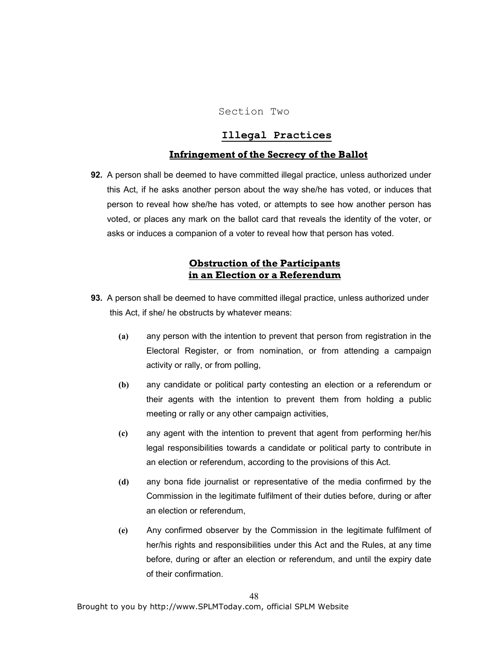#### Section Two

### Illegal Practices

#### Infringement of the Secrecy of the Ballot

92. A person shall be deemed to have committed illegal practice, unless authorized under this Act, if he asks another person about the way she/he has voted, or induces that person to reveal how she/he has voted, or attempts to see how another person has voted, or places any mark on the ballot card that reveals the identity of the voter, or asks or induces a companion of a voter to reveal how that person has voted.

## Obstruction of the Participants in an Election or a Referendum

- 93. A person shall be deemed to have committed illegal practice, unless authorized under this Act, if she/ he obstructs by whatever means:
	- (a) any person with the intention to prevent that person from registration in the Electoral Register, or from nomination, or from attending a campaign activity or rally, or from polling,
	- (b) any candidate or political party contesting an election or a referendum or their agents with the intention to prevent them from holding a public meeting or rally or any other campaign activities,
	- (c) any agent with the intention to prevent that agent from performing her/his legal responsibilities towards a candidate or political party to contribute in an election or referendum, according to the provisions of this Act.
	- (d) any bona fide journalist or representative of the media confirmed by the Commission in the legitimate fulfilment of their duties before, during or after an election or referendum,
	- (e) Any confirmed observer by the Commission in the legitimate fulfilment of her/his rights and responsibilities under this Act and the Rules, at any time before, during or after an election or referendum, and until the expiry date of their confirmation.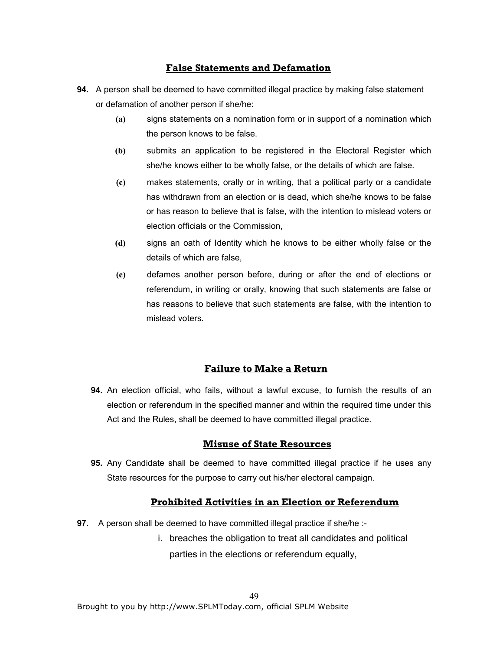### False Statements and Defamation

- 94. A person shall be deemed to have committed illegal practice by making false statement or defamation of another person if she/he:
	- (a) signs statements on a nomination form or in support of a nomination which the person knows to be false.
	- (b) submits an application to be registered in the Electoral Register which she/he knows either to be wholly false, or the details of which are false.
	- (c) makes statements, orally or in writing, that a political party or a candidate has withdrawn from an election or is dead, which she/he knows to be false or has reason to believe that is false, with the intention to mislead voters or election officials or the Commission,
	- (d) signs an oath of Identity which he knows to be either wholly false or the details of which are false,
	- (e) defames another person before, during or after the end of elections or referendum, in writing or orally, knowing that such statements are false or has reasons to believe that such statements are false, with the intention to mislead voters.

### Failure to Make a Return

94. An election official, who fails, without a lawful excuse, to furnish the results of an election or referendum in the specified manner and within the required time under this Act and the Rules, shall be deemed to have committed illegal practice.

#### Misuse of State Resources

95. Any Candidate shall be deemed to have committed illegal practice if he uses any State resources for the purpose to carry out his/her electoral campaign.

#### Prohibited Activities in an Election or Referendum

- 97. A person shall be deemed to have committed illegal practice if she/he :
	- i. breaches the obligation to treat all candidates and political parties in the elections or referendum equally,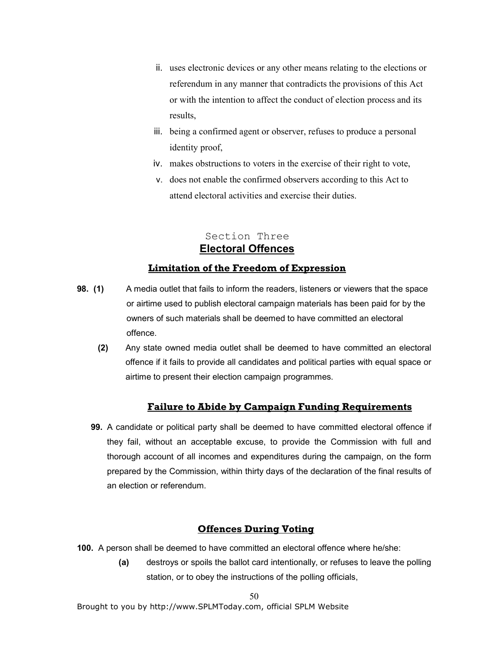- ii. uses electronic devices or any other means relating to the elections or referendum in any manner that contradicts the provisions of this Act or with the intention to affect the conduct of election process and its results,
- iii. being a confirmed agent or observer, refuses to produce a personal identity proof,
- iv. makes obstructions to voters in the exercise of their right to vote,
- v. does not enable the confirmed observers according to this Act to attend electoral activities and exercise their duties.

# Section Three Electoral Offences

# Limitation of the Freedom of Expression

- 98. (1) A media outlet that fails to inform the readers, listeners or viewers that the space or airtime used to publish electoral campaign materials has been paid for by the owners of such materials shall be deemed to have committed an electoral offence.
	- (2) Any state owned media outlet shall be deemed to have committed an electoral offence if it fails to provide all candidates and political parties with equal space or airtime to present their election campaign programmes.

# Failure to Abide by Campaign Funding Requirements

99. A candidate or political party shall be deemed to have committed electoral offence if they fail, without an acceptable excuse, to provide the Commission with full and thorough account of all incomes and expenditures during the campaign, on the form prepared by the Commission, within thirty days of the declaration of the final results of an election or referendum.

# Offences During Voting

- 100. A person shall be deemed to have committed an electoral offence where he/she:
	- (a) destroys or spoils the ballot card intentionally, or refuses to leave the polling station, or to obey the instructions of the polling officials,

50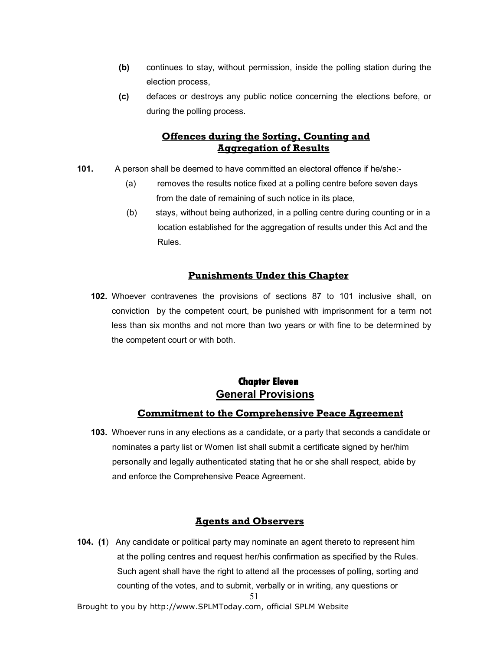- (b) continues to stay, without permission, inside the polling station during the election process,
- (c) defaces or destroys any public notice concerning the elections before, or during the polling process.

# Offences during the Sorting, Counting and Aggregation of Results

- 101. A person shall be deemed to have committed an electoral offence if he/she:-
	- (a) removes the results notice fixed at a polling centre before seven days from the date of remaining of such notice in its place,
	- (b) stays, without being authorized, in a polling centre during counting or in a location established for the aggregation of results under this Act and the Rules.

# Punishments Under this Chapter

102. Whoever contravenes the provisions of sections 87 to 101 inclusive shall, on conviction by the competent court, be punished with imprisonment for a term not less than six months and not more than two years or with fine to be determined by the competent court or with both.

# **Chapter Eleven Chapter Eleven Eleven**  General Provisions

# Commitment to the Comprehensive Peace Agreement

103. Whoever runs in any elections as a candidate, or a party that seconds a candidate or nominates a party list or Women list shall submit a certificate signed by her/him personally and legally authenticated stating that he or she shall respect, abide by and enforce the Comprehensive Peace Agreement.

# Agents and Observers

51 104. (1) Any candidate or political party may nominate an agent thereto to represent him at the polling centres and request her/his confirmation as specified by the Rules. Such agent shall have the right to attend all the processes of polling, sorting and counting of the votes, and to submit, verbally or in writing, any questions or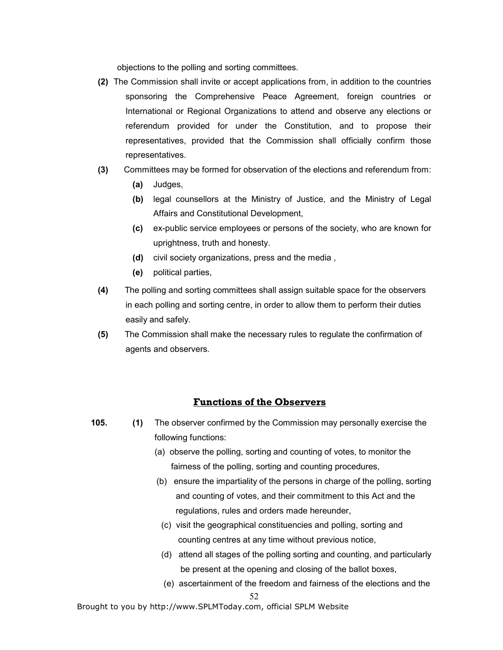objections to the polling and sorting committees.

- (2) The Commission shall invite or accept applications from, in addition to the countries sponsoring the Comprehensive Peace Agreement, foreign countries or International or Regional Organizations to attend and observe any elections or referendum provided for under the Constitution, and to propose their representatives, provided that the Commission shall officially confirm those representatives.
- (3) Committees may be formed for observation of the elections and referendum from:
	- (a) Judges,
	- (b) legal counsellors at the Ministry of Justice, and the Ministry of Legal Affairs and Constitutional Development,
	- (c) ex-public service employees or persons of the society, who are known for uprightness, truth and honesty.
	- (d) civil society organizations, press and the media ,
	- (e) political parties,
- (4) The polling and sorting committees shall assign suitable space for the observers in each polling and sorting centre, in order to allow them to perform their duties easily and safely.
- (5) The Commission shall make the necessary rules to regulate the confirmation of agents and observers.

# Functions of the Observers

- 105. (1) The observer confirmed by the Commission may personally exercise the following functions:
	- (a) observe the polling, sorting and counting of votes, to monitor the fairness of the polling, sorting and counting procedures,
	- (b) ensure the impartiality of the persons in charge of the polling, sorting and counting of votes, and their commitment to this Act and the regulations, rules and orders made hereunder,
	- (c) visit the geographical constituencies and polling, sorting and counting centres at any time without previous notice,
	- (d) attend all stages of the polling sorting and counting, and particularly be present at the opening and closing of the ballot boxes,
	- (e) ascertainment of the freedom and fairness of the elections and the

#### 52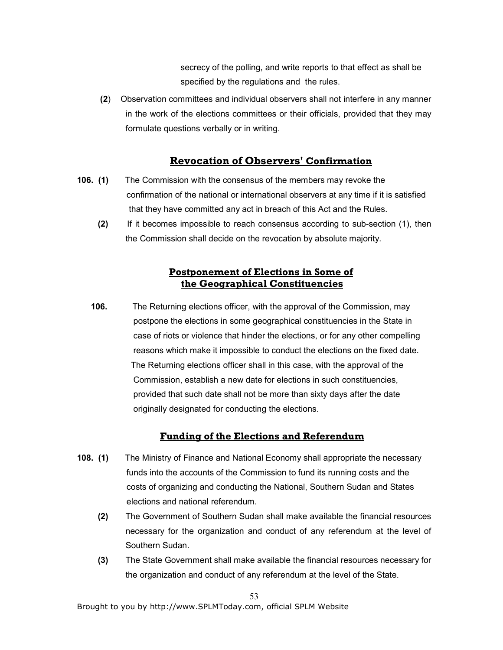secrecy of the polling, and write reports to that effect as shall be specified by the regulations and the rules.

 (2) Observation committees and individual observers shall not interfere in any manner in the work of the elections committees or their officials, provided that they may formulate questions verbally or in writing.

# Revocation of Observers' Confirmation

- 106. (1) The Commission with the consensus of the members may revoke the confirmation of the national or international observers at any time if it is satisfied that they have committed any act in breach of this Act and the Rules.
	- (2) If it becomes impossible to reach consensus according to sub-section (1), then the Commission shall decide on the revocation by absolute majority.

# Postponement of Elections in Some of the Geographical Constituencies

106. The Returning elections officer, with the approval of the Commission, may postpone the elections in some geographical constituencies in the State in case of riots or violence that hinder the elections, or for any other compelling reasons which make it impossible to conduct the elections on the fixed date. The Returning elections officer shall in this case, with the approval of the Commission, establish a new date for elections in such constituencies, provided that such date shall not be more than sixty days after the date originally designated for conducting the elections.

# Funding of the Elections and Referendum

- 108. (1) The Ministry of Finance and National Economy shall appropriate the necessary funds into the accounts of the Commission to fund its running costs and the costs of organizing and conducting the National, Southern Sudan and States elections and national referendum.
	- (2) The Government of Southern Sudan shall make available the financial resources necessary for the organization and conduct of any referendum at the level of Southern Sudan.
	- (3) The State Government shall make available the financial resources necessary for the organization and conduct of any referendum at the level of the State.